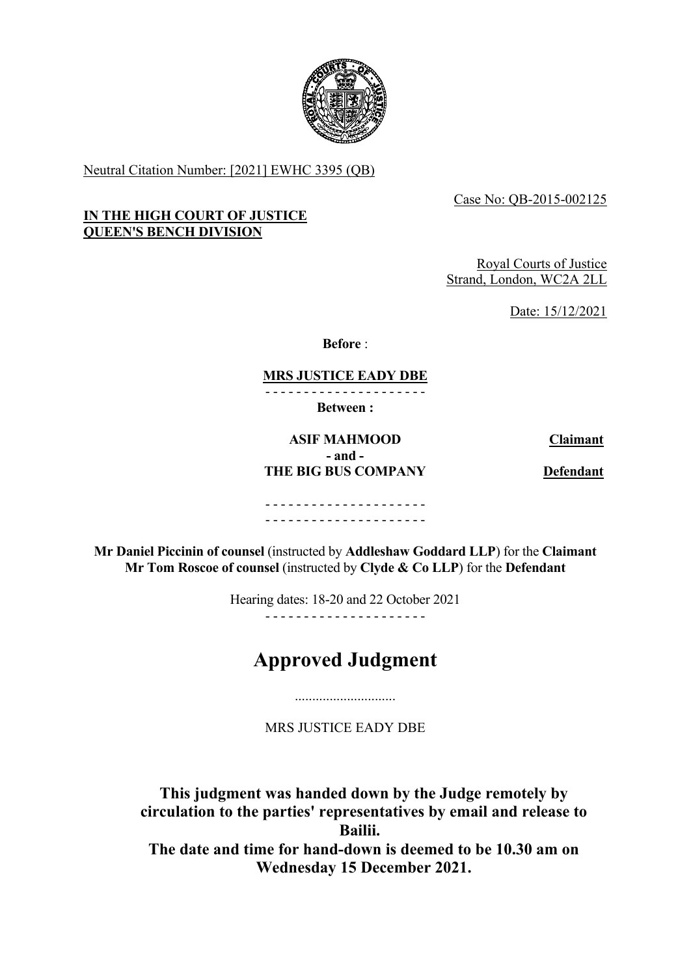

Neutral Citation Number: [2021] EWHC 3395 (QB)

# Case No: QB-2015-002125

#### **IN THE HIGH COURT OF JUSTICE QUEEN'S BENCH DIVISION**

Royal Courts of Justice Strand, London, WC2A 2LL

Date: 15/12/2021

**Before** :

# **MRS JUSTICE EADY DBE**

- - - - - - - - - - - - - - - - - - - - -

**Between :**

# **ASIF MAHMOOD Claimant - and - THE BIG BUS COMPANY Defendant**

- - - - - - - - - - - - - - - - - - - - - - - - - - - - - - - - - - - - - - - - - -

**Mr Daniel Piccinin of counsel** (instructed by **Addleshaw Goddard LLP**) for the **Claimant Mr Tom Roscoe of counsel** (instructed by **Clyde & Co LLP**) for the **Defendant**

Hearing dates: 18-20 and 22 October 2021

- - - - - - - - - - - - - - - - - - - - -

# **Approved Judgment**

MRS JUSTICE EADY DBE

.............................

**This judgment was handed down by the Judge remotely by circulation to the parties' representatives by email and release to Bailii. The date and time for hand-down is deemed to be 10.30 am on Wednesday 15 December 2021.**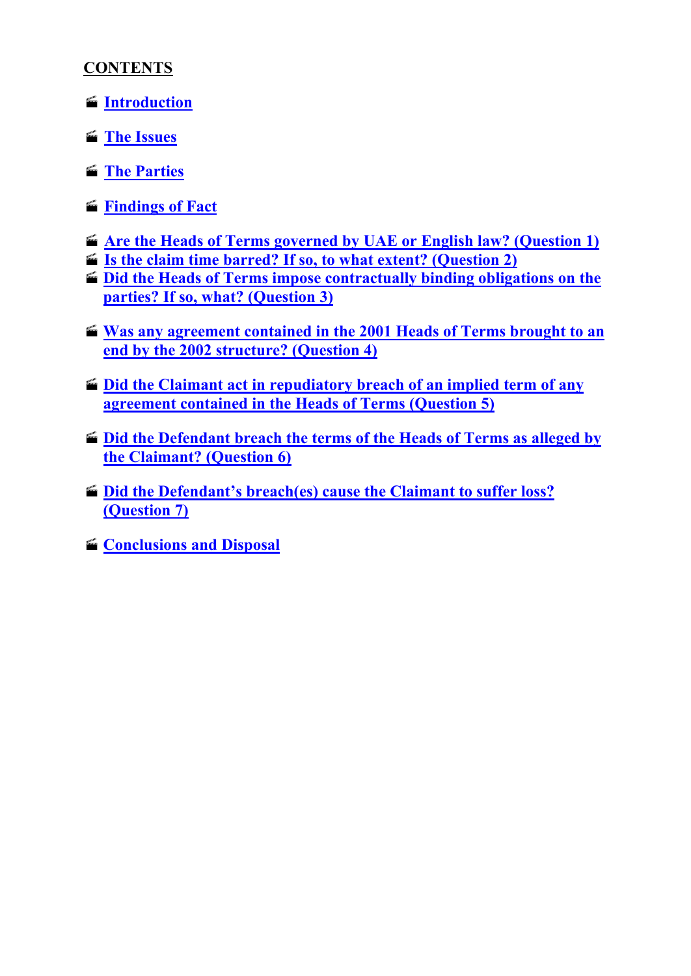# **CONTENTS**

- **[Introduction](#page-2-0)**
- **[The Issues](#page-2-1)**
- **[The Parties](#page-3-0)**
- **[Findings of Fact](#page-3-1)**
- **[Are the Heads of Terms governed by UAE or English law? \(Question 1\)](#page-16-0)**
- **[Is the claim time barred? If so, to what extent? \(Question 2\)](#page-21-0)**
- **[Did the Heads of Terms impose contractually binding obligations on the](#page-26-0)  [parties? If so, what? \(Question 3\)](#page-26-0)**
- **Was any agreement contained in the 2001 Heads of Terms brought to an [end by the 2002 structure? \(Question 4\)](#page-33-0)**
- **[Did the Claimant act in repudiatory breach of an implied term of any](#page-35-0)  [agreement contained in the Heads of Terms \(Question 5\)](#page-35-0)**
- $\blacksquare$  **Did the Defendant breach the terms of the Heads of Terms as alleged by [the Claimant? \(Question 6\)](#page-36-0)**
- **[Did the Defendant's breach\(es\) cause the Claimant to suffer loss?](#page-38-0)  [\(Question 7\)](#page-38-0)**
- **E** [Conclusions and Disposal](#page-41-0)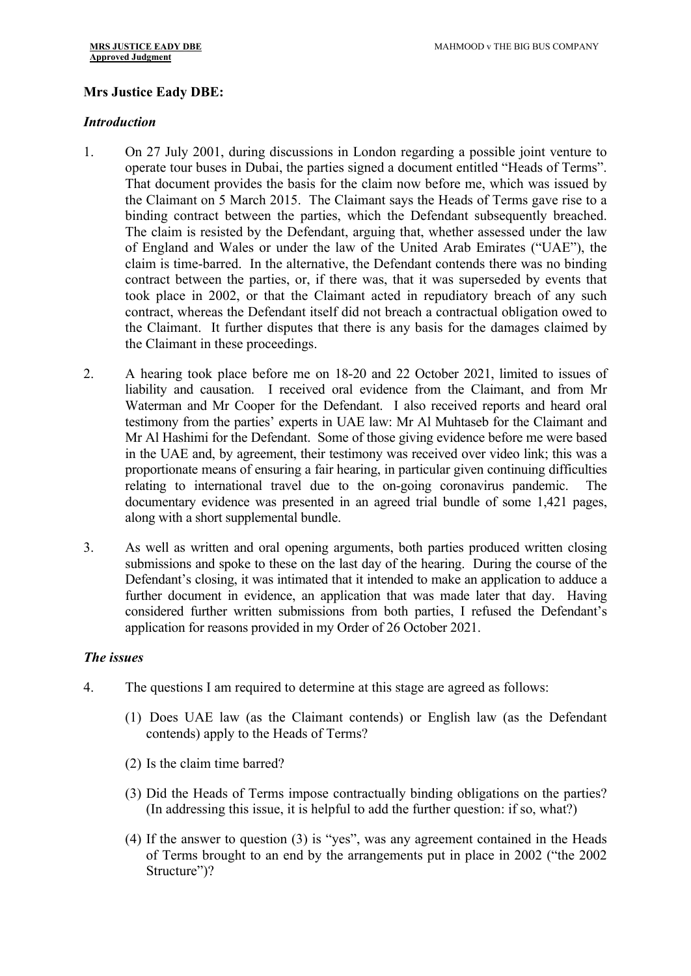# **Mrs Justice Eady DBE:**

#### <span id="page-2-0"></span>*Introduction*

- 1. On 27 July 2001, during discussions in London regarding a possible joint venture to operate tour buses in Dubai, the parties signed a document entitled "Heads of Terms". That document provides the basis for the claim now before me, which was issued by the Claimant on 5 March 2015. The Claimant says the Heads of Terms gave rise to a binding contract between the parties, which the Defendant subsequently breached. The claim is resisted by the Defendant, arguing that, whether assessed under the law of England and Wales or under the law of the United Arab Emirates ("UAE"), the claim is time-barred. In the alternative, the Defendant contends there was no binding contract between the parties, or, if there was, that it was superseded by events that took place in 2002, or that the Claimant acted in repudiatory breach of any such contract, whereas the Defendant itself did not breach a contractual obligation owed to the Claimant. It further disputes that there is any basis for the damages claimed by the Claimant in these proceedings.
- 2. A hearing took place before me on 18-20 and 22 October 2021, limited to issues of liability and causation. I received oral evidence from the Claimant, and from Mr Waterman and Mr Cooper for the Defendant. I also received reports and heard oral testimony from the parties' experts in UAE law: Mr Al Muhtaseb for the Claimant and Mr Al Hashimi for the Defendant. Some of those giving evidence before me were based in the UAE and, by agreement, their testimony was received over video link; this was a proportionate means of ensuring a fair hearing, in particular given continuing difficulties relating to international travel due to the on-going coronavirus pandemic. The documentary evidence was presented in an agreed trial bundle of some 1,421 pages, along with a short supplemental bundle.
- 3. As well as written and oral opening arguments, both parties produced written closing submissions and spoke to these on the last day of the hearing. During the course of the Defendant's closing, it was intimated that it intended to make an application to adduce a further document in evidence, an application that was made later that day. Having considered further written submissions from both parties, I refused the Defendant's application for reasons provided in my Order of 26 October 2021.

#### <span id="page-2-1"></span>*The issues*

- 4. The questions I am required to determine at this stage are agreed as follows:
	- (1) Does UAE law (as the Claimant contends) or English law (as the Defendant contends) apply to the Heads of Terms?
	- (2) Is the claim time barred?
	- (3) Did the Heads of Terms impose contractually binding obligations on the parties? (In addressing this issue, it is helpful to add the further question: if so, what?)
	- (4) If the answer to question (3) is "yes", was any agreement contained in the Heads of Terms brought to an end by the arrangements put in place in 2002 ("the 2002 Structure")?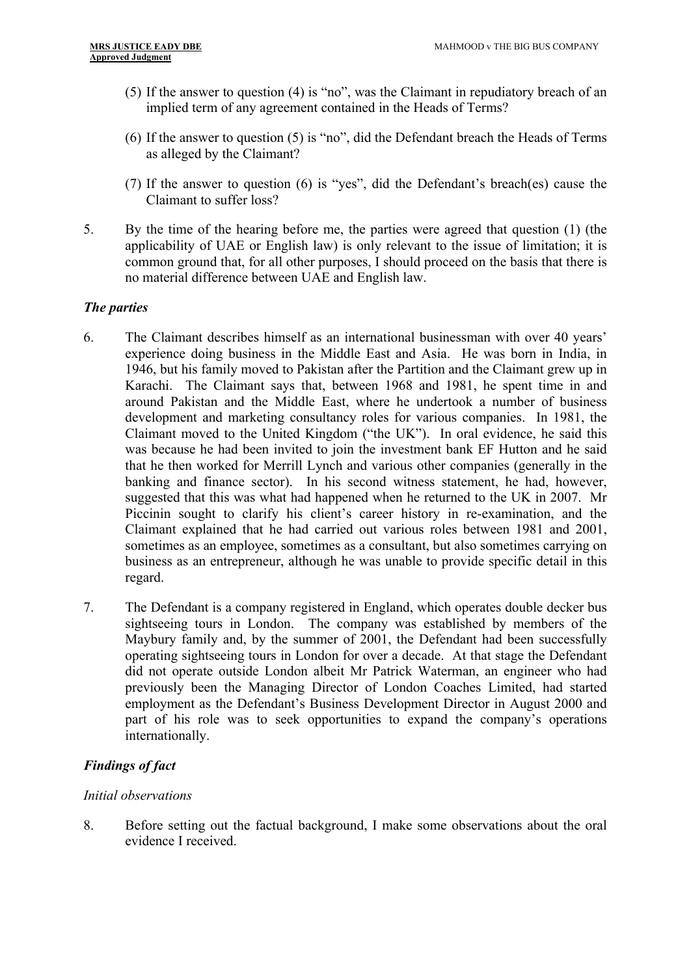- (5) If the answer to question (4) is "no", was the Claimant in repudiatory breach of an implied term of any agreement contained in the Heads of Terms?
- (6) If the answer to question (5) is "no", did the Defendant breach the Heads of Terms as alleged by the Claimant?
- (7) If the answer to question (6) is "yes", did the Defendant's breach(es) cause the Claimant to suffer loss?
- 5. By the time of the hearing before me, the parties were agreed that question (1) (the applicability of UAE or English law) is only relevant to the issue of limitation; it is common ground that, for all other purposes, I should proceed on the basis that there is no material difference between UAE and English law.

# <span id="page-3-0"></span>*The parties*

- 6. The Claimant describes himself as an international businessman with over 40 years' experience doing business in the Middle East and Asia. He was born in India, in 1946, but his family moved to Pakistan after the Partition and the Claimant grew up in Karachi. The Claimant says that, between 1968 and 1981, he spent time in and around Pakistan and the Middle East, where he undertook a number of business development and marketing consultancy roles for various companies. In 1981, the Claimant moved to the United Kingdom ("the UK"). In oral evidence, he said this was because he had been invited to join the investment bank EF Hutton and he said that he then worked for Merrill Lynch and various other companies (generally in the banking and finance sector). In his second witness statement, he had, however, suggested that this was what had happened when he returned to the UK in 2007. Mr Piccinin sought to clarify his client's career history in re-examination, and the Claimant explained that he had carried out various roles between 1981 and 2001, sometimes as an employee, sometimes as a consultant, but also sometimes carrying on business as an entrepreneur, although he was unable to provide specific detail in this regard.
- 7. The Defendant is a company registered in England, which operates double decker bus sightseeing tours in London. The company was established by members of the Maybury family and, by the summer of 2001, the Defendant had been successfully operating sightseeing tours in London for over a decade. At that stage the Defendant did not operate outside London albeit Mr Patrick Waterman, an engineer who had previously been the Managing Director of London Coaches Limited, had started employment as the Defendant's Business Development Director in August 2000 and part of his role was to seek opportunities to expand the company's operations internationally.

# <span id="page-3-1"></span>*Findings of fact*

# *Initial observations*

8. Before setting out the factual background, I make some observations about the oral evidence I received.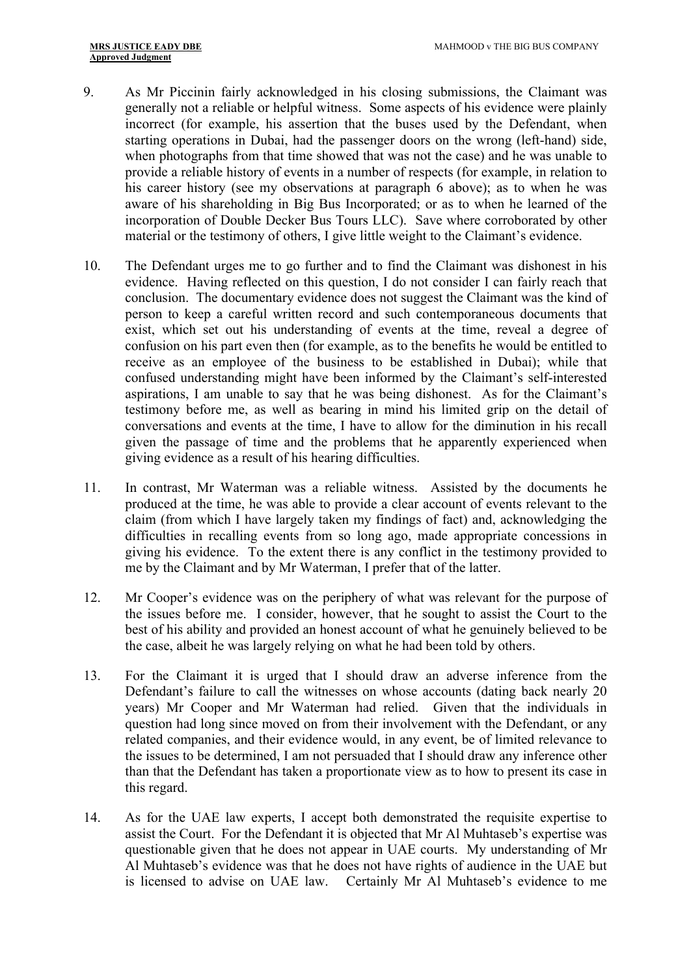- 9. As Mr Piccinin fairly acknowledged in his closing submissions, the Claimant was generally not a reliable or helpful witness. Some aspects of his evidence were plainly incorrect (for example, his assertion that the buses used by the Defendant, when starting operations in Dubai, had the passenger doors on the wrong (left-hand) side, when photographs from that time showed that was not the case) and he was unable to provide a reliable history of events in a number of respects (for example, in relation to his career history (see my observations at paragraph 6 above); as to when he was aware of his shareholding in Big Bus Incorporated; or as to when he learned of the incorporation of Double Decker Bus Tours LLC). Save where corroborated by other material or the testimony of others, I give little weight to the Claimant's evidence.
- 10. The Defendant urges me to go further and to find the Claimant was dishonest in his evidence. Having reflected on this question, I do not consider I can fairly reach that conclusion. The documentary evidence does not suggest the Claimant was the kind of person to keep a careful written record and such contemporaneous documents that exist, which set out his understanding of events at the time, reveal a degree of confusion on his part even then (for example, as to the benefits he would be entitled to receive as an employee of the business to be established in Dubai); while that confused understanding might have been informed by the Claimant's self-interested aspirations, I am unable to say that he was being dishonest. As for the Claimant's testimony before me, as well as bearing in mind his limited grip on the detail of conversations and events at the time, I have to allow for the diminution in his recall given the passage of time and the problems that he apparently experienced when giving evidence as a result of his hearing difficulties.
- 11. In contrast, Mr Waterman was a reliable witness. Assisted by the documents he produced at the time, he was able to provide a clear account of events relevant to the claim (from which I have largely taken my findings of fact) and, acknowledging the difficulties in recalling events from so long ago, made appropriate concessions in giving his evidence. To the extent there is any conflict in the testimony provided to me by the Claimant and by Mr Waterman, I prefer that of the latter.
- 12. Mr Cooper's evidence was on the periphery of what was relevant for the purpose of the issues before me. I consider, however, that he sought to assist the Court to the best of his ability and provided an honest account of what he genuinely believed to be the case, albeit he was largely relying on what he had been told by others.
- 13. For the Claimant it is urged that I should draw an adverse inference from the Defendant's failure to call the witnesses on whose accounts (dating back nearly 20 years) Mr Cooper and Mr Waterman had relied. Given that the individuals in question had long since moved on from their involvement with the Defendant, or any related companies, and their evidence would, in any event, be of limited relevance to the issues to be determined, I am not persuaded that I should draw any inference other than that the Defendant has taken a proportionate view as to how to present its case in this regard.
- 14. As for the UAE law experts, I accept both demonstrated the requisite expertise to assist the Court. For the Defendant it is objected that Mr Al Muhtaseb's expertise was questionable given that he does not appear in UAE courts. My understanding of Mr Al Muhtaseb's evidence was that he does not have rights of audience in the UAE but is licensed to advise on UAE law. Certainly Mr Al Muhtaseb's evidence to me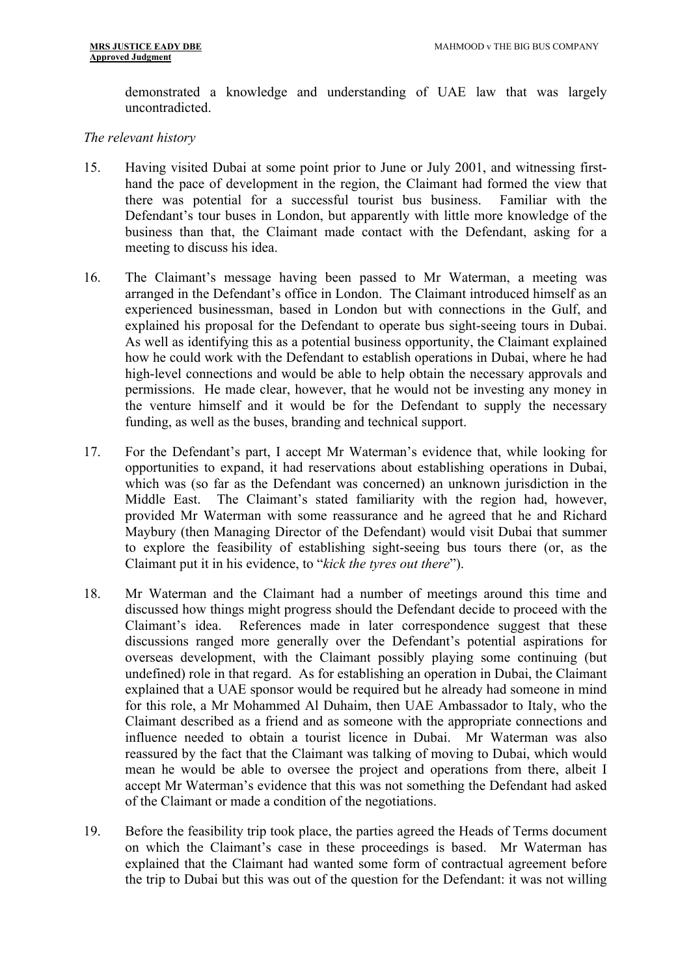demonstrated a knowledge and understanding of UAE law that was largely uncontradicted.

#### *The relevant history*

- 15. Having visited Dubai at some point prior to June or July 2001, and witnessing firsthand the pace of development in the region, the Claimant had formed the view that there was potential for a successful tourist bus business. Familiar with the Defendant's tour buses in London, but apparently with little more knowledge of the business than that, the Claimant made contact with the Defendant, asking for a meeting to discuss his idea.
- 16. The Claimant's message having been passed to Mr Waterman, a meeting was arranged in the Defendant's office in London. The Claimant introduced himself as an experienced businessman, based in London but with connections in the Gulf, and explained his proposal for the Defendant to operate bus sight-seeing tours in Dubai. As well as identifying this as a potential business opportunity, the Claimant explained how he could work with the Defendant to establish operations in Dubai, where he had high-level connections and would be able to help obtain the necessary approvals and permissions. He made clear, however, that he would not be investing any money in the venture himself and it would be for the Defendant to supply the necessary funding, as well as the buses, branding and technical support.
- 17. For the Defendant's part, I accept Mr Waterman's evidence that, while looking for opportunities to expand, it had reservations about establishing operations in Dubai, which was (so far as the Defendant was concerned) an unknown jurisdiction in the Middle East. The Claimant's stated familiarity with the region had, however, provided Mr Waterman with some reassurance and he agreed that he and Richard Maybury (then Managing Director of the Defendant) would visit Dubai that summer to explore the feasibility of establishing sight-seeing bus tours there (or, as the Claimant put it in his evidence, to "*kick the tyres out there*").
- 18. Mr Waterman and the Claimant had a number of meetings around this time and discussed how things might progress should the Defendant decide to proceed with the Claimant's idea. References made in later correspondence suggest that these discussions ranged more generally over the Defendant's potential aspirations for overseas development, with the Claimant possibly playing some continuing (but undefined) role in that regard. As for establishing an operation in Dubai, the Claimant explained that a UAE sponsor would be required but he already had someone in mind for this role, a Mr Mohammed Al Duhaim, then UAE Ambassador to Italy, who the Claimant described as a friend and as someone with the appropriate connections and influence needed to obtain a tourist licence in Dubai. Mr Waterman was also reassured by the fact that the Claimant was talking of moving to Dubai, which would mean he would be able to oversee the project and operations from there, albeit I accept Mr Waterman's evidence that this was not something the Defendant had asked of the Claimant or made a condition of the negotiations.
- 19. Before the feasibility trip took place, the parties agreed the Heads of Terms document on which the Claimant's case in these proceedings is based. Mr Waterman has explained that the Claimant had wanted some form of contractual agreement before the trip to Dubai but this was out of the question for the Defendant: it was not willing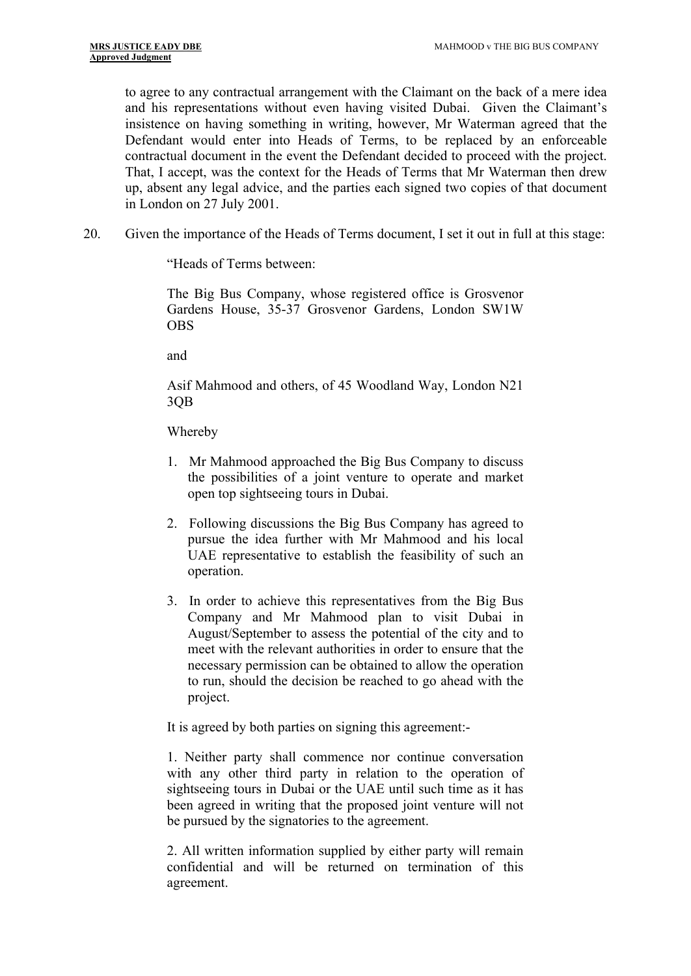to agree to any contractual arrangement with the Claimant on the back of a mere idea and his representations without even having visited Dubai. Given the Claimant's insistence on having something in writing, however, Mr Waterman agreed that the Defendant would enter into Heads of Terms, to be replaced by an enforceable contractual document in the event the Defendant decided to proceed with the project. That, I accept, was the context for the Heads of Terms that Mr Waterman then drew up, absent any legal advice, and the parties each signed two copies of that document in London on 27 July 2001.

20. Given the importance of the Heads of Terms document, I set it out in full at this stage:

"Heads of Terms between:

The Big Bus Company, whose registered office is Grosvenor Gardens House, 35-37 Grosvenor Gardens, London SW1W OBS

and

Asif Mahmood and others, of 45 Woodland Way, London N21 3QB

Whereby

- 1. Mr Mahmood approached the Big Bus Company to discuss the possibilities of a joint venture to operate and market open top sightseeing tours in Dubai.
- 2. Following discussions the Big Bus Company has agreed to pursue the idea further with Mr Mahmood and his local UAE representative to establish the feasibility of such an operation.
- 3. In order to achieve this representatives from the Big Bus Company and Mr Mahmood plan to visit Dubai in August/September to assess the potential of the city and to meet with the relevant authorities in order to ensure that the necessary permission can be obtained to allow the operation to run, should the decision be reached to go ahead with the project.

It is agreed by both parties on signing this agreement:-

1. Neither party shall commence nor continue conversation with any other third party in relation to the operation of sightseeing tours in Dubai or the UAE until such time as it has been agreed in writing that the proposed joint venture will not be pursued by the signatories to the agreement.

2. All written information supplied by either party will remain confidential and will be returned on termination of this agreement.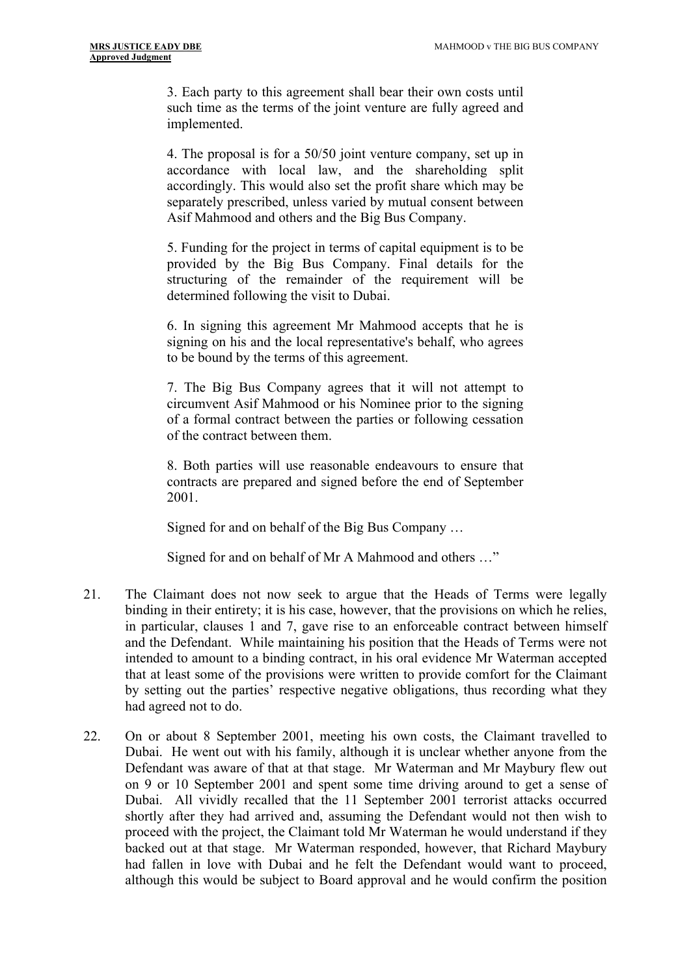3. Each party to this agreement shall bear their own costs until such time as the terms of the joint venture are fully agreed and implemented.

4. The proposal is for a 50/50 joint venture company, set up in accordance with local law, and the shareholding split accordingly. This would also set the profit share which may be separately prescribed, unless varied by mutual consent between Asif Mahmood and others and the Big Bus Company.

5. Funding for the project in terms of capital equipment is to be provided by the Big Bus Company. Final details for the structuring of the remainder of the requirement will be determined following the visit to Dubai.

6. In signing this agreement Mr Mahmood accepts that he is signing on his and the local representative's behalf, who agrees to be bound by the terms of this agreement.

7. The Big Bus Company agrees that it will not attempt to circumvent Asif Mahmood or his Nominee prior to the signing of a formal contract between the parties or following cessation of the contract between them.

8. Both parties will use reasonable endeavours to ensure that contracts are prepared and signed before the end of September 2001.

Signed for and on behalf of the Big Bus Company …

Signed for and on behalf of Mr A Mahmood and others …"

- 21. The Claimant does not now seek to argue that the Heads of Terms were legally binding in their entirety; it is his case, however, that the provisions on which he relies, in particular, clauses 1 and 7, gave rise to an enforceable contract between himself and the Defendant. While maintaining his position that the Heads of Terms were not intended to amount to a binding contract, in his oral evidence Mr Waterman accepted that at least some of the provisions were written to provide comfort for the Claimant by setting out the parties' respective negative obligations, thus recording what they had agreed not to do.
- 22. On or about 8 September 2001, meeting his own costs, the Claimant travelled to Dubai. He went out with his family, although it is unclear whether anyone from the Defendant was aware of that at that stage. Mr Waterman and Mr Maybury flew out on 9 or 10 September 2001 and spent some time driving around to get a sense of Dubai. All vividly recalled that the 11 September 2001 terrorist attacks occurred shortly after they had arrived and, assuming the Defendant would not then wish to proceed with the project, the Claimant told Mr Waterman he would understand if they backed out at that stage. Mr Waterman responded, however, that Richard Maybury had fallen in love with Dubai and he felt the Defendant would want to proceed, although this would be subject to Board approval and he would confirm the position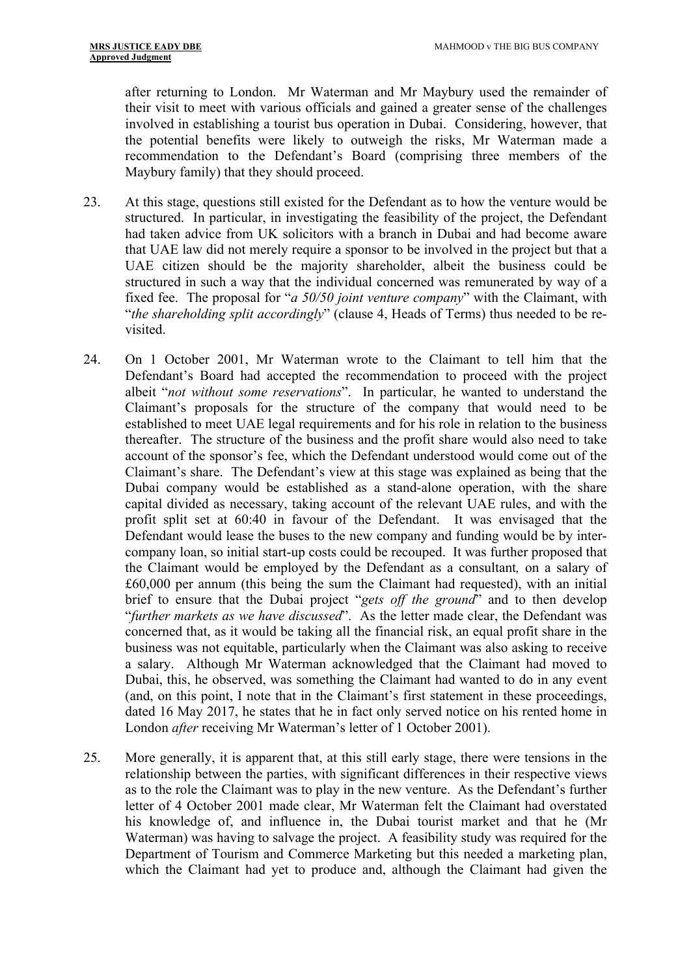after returning to London. Mr Waterman and Mr Maybury used the remainder of their visit to meet with various officials and gained a greater sense of the challenges involved in establishing a tourist bus operation in Dubai. Considering, however, that the potential benefits were likely to outweigh the risks, Mr Waterman made a recommendation to the Defendant's Board (comprising three members of the Maybury family) that they should proceed.

- 23. At this stage, questions still existed for the Defendant as to how the venture would be structured. In particular, in investigating the feasibility of the project, the Defendant had taken advice from UK solicitors with a branch in Dubai and had become aware that UAE law did not merely require a sponsor to be involved in the project but that a UAE citizen should be the majority shareholder, albeit the business could be structured in such a way that the individual concerned was remunerated by way of a fixed fee. The proposal for "*a 50/50 joint venture company*" with the Claimant, with "*the shareholding split accordingly*" (clause 4, Heads of Terms) thus needed to be revisited.
- 24. On 1 October 2001, Mr Waterman wrote to the Claimant to tell him that the Defendant's Board had accepted the recommendation to proceed with the project albeit "*not without some reservations*". In particular, he wanted to understand the Claimant's proposals for the structure of the company that would need to be established to meet UAE legal requirements and for his role in relation to the business thereafter. The structure of the business and the profit share would also need to take account of the sponsor's fee, which the Defendant understood would come out of the Claimant's share. The Defendant's view at this stage was explained as being that the Dubai company would be established as a stand-alone operation, with the share capital divided as necessary, taking account of the relevant UAE rules, and with the profit split set at 60:40 in favour of the Defendant. It was envisaged that the Defendant would lease the buses to the new company and funding would be by intercompany loan, so initial start-up costs could be recouped. It was further proposed that the Claimant would be employed by the Defendant as a consultant*,* on a salary of £60,000 per annum (this being the sum the Claimant had requested), with an initial brief to ensure that the Dubai project "*gets off the ground*" and to then develop "*further markets as we have discussed*". As the letter made clear, the Defendant was concerned that, as it would be taking all the financial risk, an equal profit share in the business was not equitable, particularly when the Claimant was also asking to receive a salary. Although Mr Waterman acknowledged that the Claimant had moved to Dubai, this, he observed, was something the Claimant had wanted to do in any event (and, on this point, I note that in the Claimant's first statement in these proceedings, dated 16 May 2017, he states that he in fact only served notice on his rented home in London *after* receiving Mr Waterman's letter of 1 October 2001).
- 25. More generally, it is apparent that, at this still early stage, there were tensions in the relationship between the parties, with significant differences in their respective views as to the role the Claimant was to play in the new venture. As the Defendant's further letter of 4 October 2001 made clear, Mr Waterman felt the Claimant had overstated his knowledge of, and influence in, the Dubai tourist market and that he (Mr Waterman) was having to salvage the project. A feasibility study was required for the Department of Tourism and Commerce Marketing but this needed a marketing plan, which the Claimant had yet to produce and, although the Claimant had given the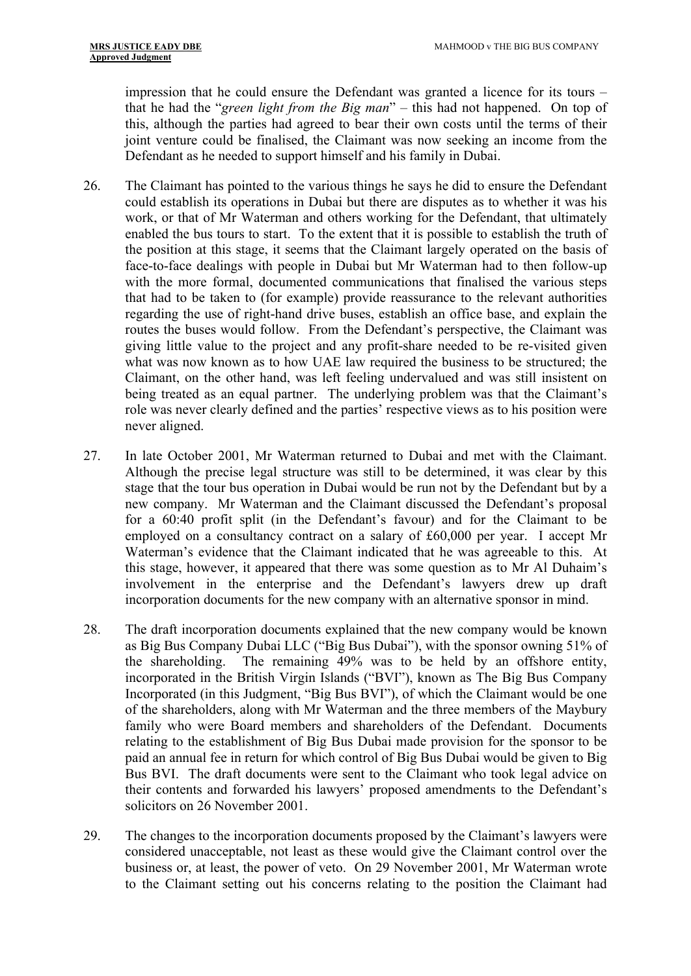impression that he could ensure the Defendant was granted a licence for its tours – that he had the "*green light from the Big man*" – this had not happened. On top of this, although the parties had agreed to bear their own costs until the terms of their joint venture could be finalised, the Claimant was now seeking an income from the Defendant as he needed to support himself and his family in Dubai.

- 26. The Claimant has pointed to the various things he says he did to ensure the Defendant could establish its operations in Dubai but there are disputes as to whether it was his work, or that of Mr Waterman and others working for the Defendant, that ultimately enabled the bus tours to start. To the extent that it is possible to establish the truth of the position at this stage, it seems that the Claimant largely operated on the basis of face-to-face dealings with people in Dubai but Mr Waterman had to then follow-up with the more formal, documented communications that finalised the various steps that had to be taken to (for example) provide reassurance to the relevant authorities regarding the use of right-hand drive buses, establish an office base, and explain the routes the buses would follow. From the Defendant's perspective, the Claimant was giving little value to the project and any profit-share needed to be re-visited given what was now known as to how UAE law required the business to be structured; the Claimant, on the other hand, was left feeling undervalued and was still insistent on being treated as an equal partner. The underlying problem was that the Claimant's role was never clearly defined and the parties' respective views as to his position were never aligned.
- 27. In late October 2001, Mr Waterman returned to Dubai and met with the Claimant. Although the precise legal structure was still to be determined, it was clear by this stage that the tour bus operation in Dubai would be run not by the Defendant but by a new company. Mr Waterman and the Claimant discussed the Defendant's proposal for a 60:40 profit split (in the Defendant's favour) and for the Claimant to be employed on a consultancy contract on a salary of £60,000 per year. I accept Mr Waterman's evidence that the Claimant indicated that he was agreeable to this. At this stage, however, it appeared that there was some question as to Mr Al Duhaim's involvement in the enterprise and the Defendant's lawyers drew up draft incorporation documents for the new company with an alternative sponsor in mind.
- 28. The draft incorporation documents explained that the new company would be known as Big Bus Company Dubai LLC ("Big Bus Dubai"), with the sponsor owning 51% of the shareholding. The remaining 49% was to be held by an offshore entity, incorporated in the British Virgin Islands ("BVI"), known as The Big Bus Company Incorporated (in this Judgment, "Big Bus BVI"), of which the Claimant would be one of the shareholders, along with Mr Waterman and the three members of the Maybury family who were Board members and shareholders of the Defendant. Documents relating to the establishment of Big Bus Dubai made provision for the sponsor to be paid an annual fee in return for which control of Big Bus Dubai would be given to Big Bus BVI. The draft documents were sent to the Claimant who took legal advice on their contents and forwarded his lawyers' proposed amendments to the Defendant's solicitors on 26 November 2001.
- 29. The changes to the incorporation documents proposed by the Claimant's lawyers were considered unacceptable, not least as these would give the Claimant control over the business or, at least, the power of veto. On 29 November 2001, Mr Waterman wrote to the Claimant setting out his concerns relating to the position the Claimant had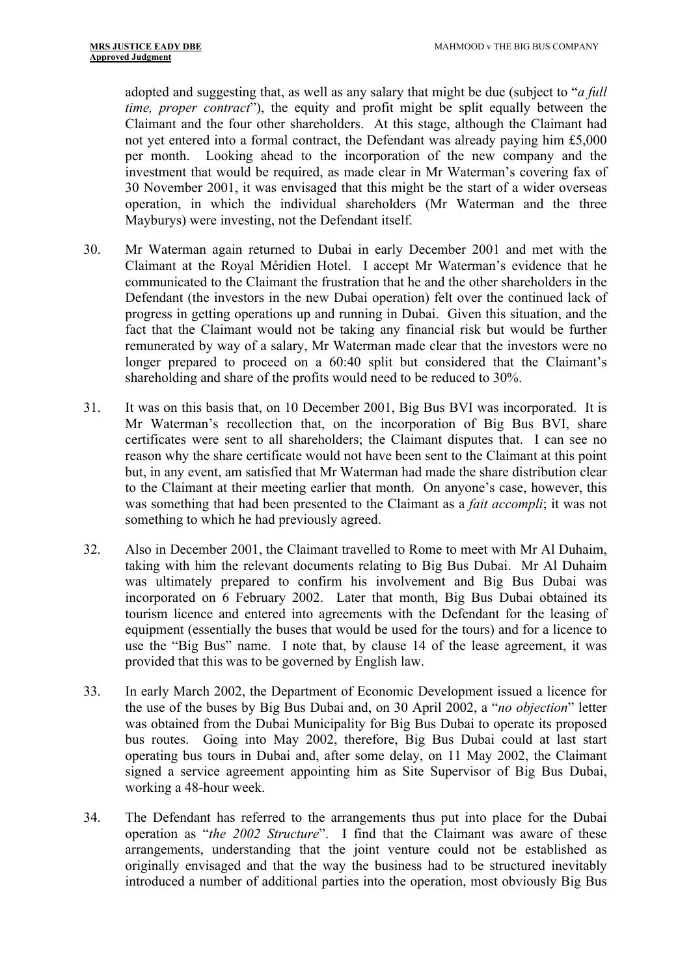adopted and suggesting that, as well as any salary that might be due (subject to "*a full time, proper contract*"), the equity and profit might be split equally between the Claimant and the four other shareholders. At this stage, although the Claimant had not yet entered into a formal contract, the Defendant was already paying him £5,000 per month. Looking ahead to the incorporation of the new company and the investment that would be required, as made clear in Mr Waterman's covering fax of 30 November 2001, it was envisaged that this might be the start of a wider overseas operation, in which the individual shareholders (Mr Waterman and the three Mayburys) were investing, not the Defendant itself.

- 30. Mr Waterman again returned to Dubai in early December 2001 and met with the Claimant at the Royal Méridien Hotel. I accept Mr Waterman's evidence that he communicated to the Claimant the frustration that he and the other shareholders in the Defendant (the investors in the new Dubai operation) felt over the continued lack of progress in getting operations up and running in Dubai. Given this situation, and the fact that the Claimant would not be taking any financial risk but would be further remunerated by way of a salary, Mr Waterman made clear that the investors were no longer prepared to proceed on a 60:40 split but considered that the Claimant's shareholding and share of the profits would need to be reduced to 30%.
- 31. It was on this basis that, on 10 December 2001, Big Bus BVI was incorporated. It is Mr Waterman's recollection that, on the incorporation of Big Bus BVI, share certificates were sent to all shareholders; the Claimant disputes that. I can see no reason why the share certificate would not have been sent to the Claimant at this point but, in any event, am satisfied that Mr Waterman had made the share distribution clear to the Claimant at their meeting earlier that month. On anyone's case, however, this was something that had been presented to the Claimant as a *fait accompli*; it was not something to which he had previously agreed.
- 32. Also in December 2001, the Claimant travelled to Rome to meet with Mr Al Duhaim, taking with him the relevant documents relating to Big Bus Dubai. Mr Al Duhaim was ultimately prepared to confirm his involvement and Big Bus Dubai was incorporated on 6 February 2002. Later that month, Big Bus Dubai obtained its tourism licence and entered into agreements with the Defendant for the leasing of equipment (essentially the buses that would be used for the tours) and for a licence to use the "Big Bus" name. I note that, by clause 14 of the lease agreement, it was provided that this was to be governed by English law.
- 33. In early March 2002, the Department of Economic Development issued a licence for the use of the buses by Big Bus Dubai and, on 30 April 2002, a "*no objection*" letter was obtained from the Dubai Municipality for Big Bus Dubai to operate its proposed bus routes. Going into May 2002, therefore, Big Bus Dubai could at last start operating bus tours in Dubai and, after some delay, on 11 May 2002, the Claimant signed a service agreement appointing him as Site Supervisor of Big Bus Dubai, working a 48-hour week.
- 34. The Defendant has referred to the arrangements thus put into place for the Dubai operation as "*the 2002 Structure*". I find that the Claimant was aware of these arrangements, understanding that the joint venture could not be established as originally envisaged and that the way the business had to be structured inevitably introduced a number of additional parties into the operation, most obviously Big Bus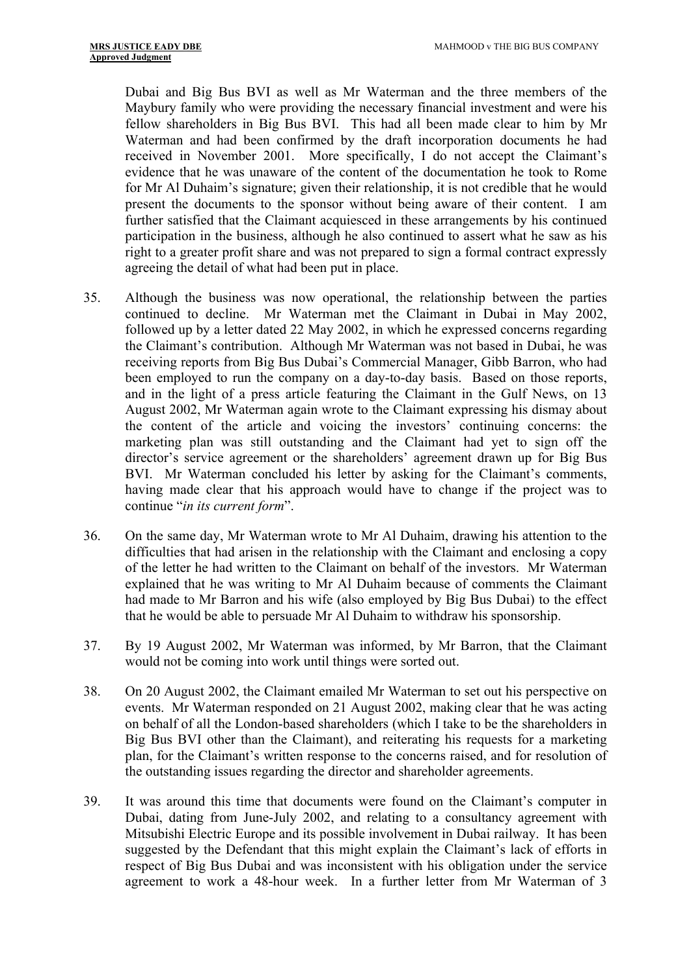Dubai and Big Bus BVI as well as Mr Waterman and the three members of the Maybury family who were providing the necessary financial investment and were his fellow shareholders in Big Bus BVI. This had all been made clear to him by Mr Waterman and had been confirmed by the draft incorporation documents he had received in November 2001. More specifically, I do not accept the Claimant's evidence that he was unaware of the content of the documentation he took to Rome for Mr Al Duhaim's signature; given their relationship, it is not credible that he would present the documents to the sponsor without being aware of their content. I am further satisfied that the Claimant acquiesced in these arrangements by his continued participation in the business, although he also continued to assert what he saw as his right to a greater profit share and was not prepared to sign a formal contract expressly agreeing the detail of what had been put in place.

- 35. Although the business was now operational, the relationship between the parties continued to decline. Mr Waterman met the Claimant in Dubai in May 2002, followed up by a letter dated 22 May 2002, in which he expressed concerns regarding the Claimant's contribution. Although Mr Waterman was not based in Dubai, he was receiving reports from Big Bus Dubai's Commercial Manager, Gibb Barron, who had been employed to run the company on a day-to-day basis. Based on those reports, and in the light of a press article featuring the Claimant in the Gulf News, on 13 August 2002, Mr Waterman again wrote to the Claimant expressing his dismay about the content of the article and voicing the investors' continuing concerns: the marketing plan was still outstanding and the Claimant had yet to sign off the director's service agreement or the shareholders' agreement drawn up for Big Bus BVI. Mr Waterman concluded his letter by asking for the Claimant's comments, having made clear that his approach would have to change if the project was to continue "*in its current form*".
- 36. On the same day, Mr Waterman wrote to Mr Al Duhaim, drawing his attention to the difficulties that had arisen in the relationship with the Claimant and enclosing a copy of the letter he had written to the Claimant on behalf of the investors. Mr Waterman explained that he was writing to Mr Al Duhaim because of comments the Claimant had made to Mr Barron and his wife (also employed by Big Bus Dubai) to the effect that he would be able to persuade Mr Al Duhaim to withdraw his sponsorship.
- 37. By 19 August 2002, Mr Waterman was informed, by Mr Barron, that the Claimant would not be coming into work until things were sorted out.
- 38. On 20 August 2002, the Claimant emailed Mr Waterman to set out his perspective on events. Mr Waterman responded on 21 August 2002, making clear that he was acting on behalf of all the London-based shareholders (which I take to be the shareholders in Big Bus BVI other than the Claimant), and reiterating his requests for a marketing plan, for the Claimant's written response to the concerns raised, and for resolution of the outstanding issues regarding the director and shareholder agreements.
- 39. It was around this time that documents were found on the Claimant's computer in Dubai, dating from June-July 2002, and relating to a consultancy agreement with Mitsubishi Electric Europe and its possible involvement in Dubai railway. It has been suggested by the Defendant that this might explain the Claimant's lack of efforts in respect of Big Bus Dubai and was inconsistent with his obligation under the service agreement to work a 48-hour week. In a further letter from Mr Waterman of 3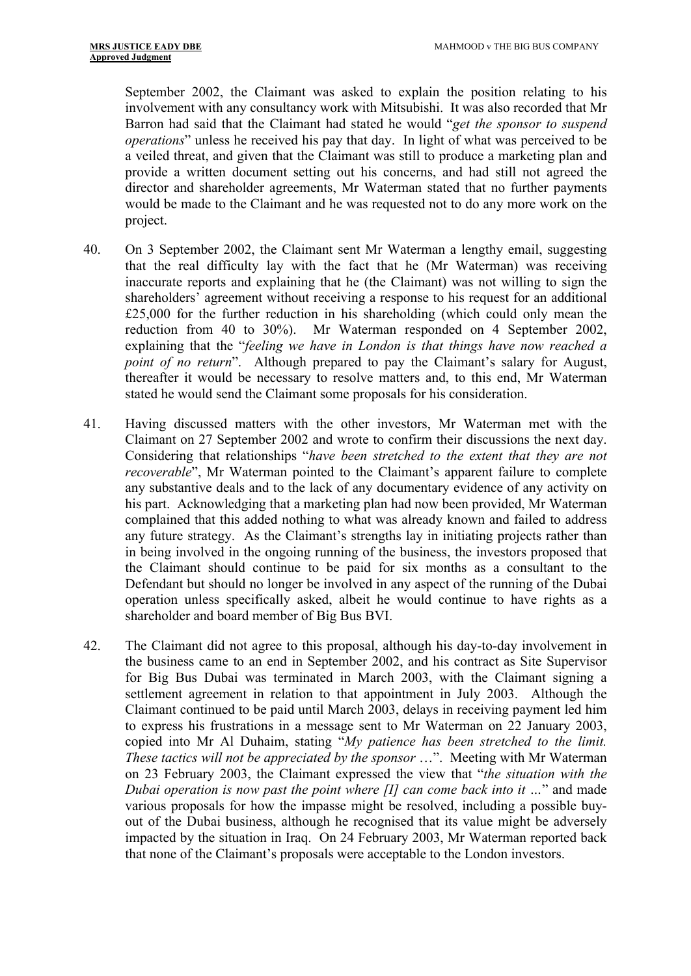September 2002, the Claimant was asked to explain the position relating to his involvement with any consultancy work with Mitsubishi. It was also recorded that Mr Barron had said that the Claimant had stated he would "*get the sponsor to suspend operations*" unless he received his pay that day. In light of what was perceived to be a veiled threat, and given that the Claimant was still to produce a marketing plan and provide a written document setting out his concerns, and had still not agreed the director and shareholder agreements, Mr Waterman stated that no further payments would be made to the Claimant and he was requested not to do any more work on the project.

- 40. On 3 September 2002, the Claimant sent Mr Waterman a lengthy email, suggesting that the real difficulty lay with the fact that he (Mr Waterman) was receiving inaccurate reports and explaining that he (the Claimant) was not willing to sign the shareholders' agreement without receiving a response to his request for an additional £25,000 for the further reduction in his shareholding (which could only mean the reduction from 40 to 30%). Mr Waterman responded on 4 September 2002, explaining that the "*feeling we have in London is that things have now reached a point of no return*". Although prepared to pay the Claimant's salary for August, thereafter it would be necessary to resolve matters and, to this end, Mr Waterman stated he would send the Claimant some proposals for his consideration.
- 41. Having discussed matters with the other investors, Mr Waterman met with the Claimant on 27 September 2002 and wrote to confirm their discussions the next day. Considering that relationships "*have been stretched to the extent that they are not recoverable*", Mr Waterman pointed to the Claimant's apparent failure to complete any substantive deals and to the lack of any documentary evidence of any activity on his part. Acknowledging that a marketing plan had now been provided, Mr Waterman complained that this added nothing to what was already known and failed to address any future strategy. As the Claimant's strengths lay in initiating projects rather than in being involved in the ongoing running of the business, the investors proposed that the Claimant should continue to be paid for six months as a consultant to the Defendant but should no longer be involved in any aspect of the running of the Dubai operation unless specifically asked, albeit he would continue to have rights as a shareholder and board member of Big Bus BVI.
- 42. The Claimant did not agree to this proposal, although his day-to-day involvement in the business came to an end in September 2002, and his contract as Site Supervisor for Big Bus Dubai was terminated in March 2003, with the Claimant signing a settlement agreement in relation to that appointment in July 2003. Although the Claimant continued to be paid until March 2003, delays in receiving payment led him to express his frustrations in a message sent to Mr Waterman on 22 January 2003, copied into Mr Al Duhaim, stating "*My patience has been stretched to the limit. These tactics will not be appreciated by the sponsor* …". Meeting with Mr Waterman on 23 February 2003, the Claimant expressed the view that "*the situation with the Dubai operation is now past the point where [I] can come back into it …*" and made various proposals for how the impasse might be resolved, including a possible buyout of the Dubai business, although he recognised that its value might be adversely impacted by the situation in Iraq. On 24 February 2003, Mr Waterman reported back that none of the Claimant's proposals were acceptable to the London investors.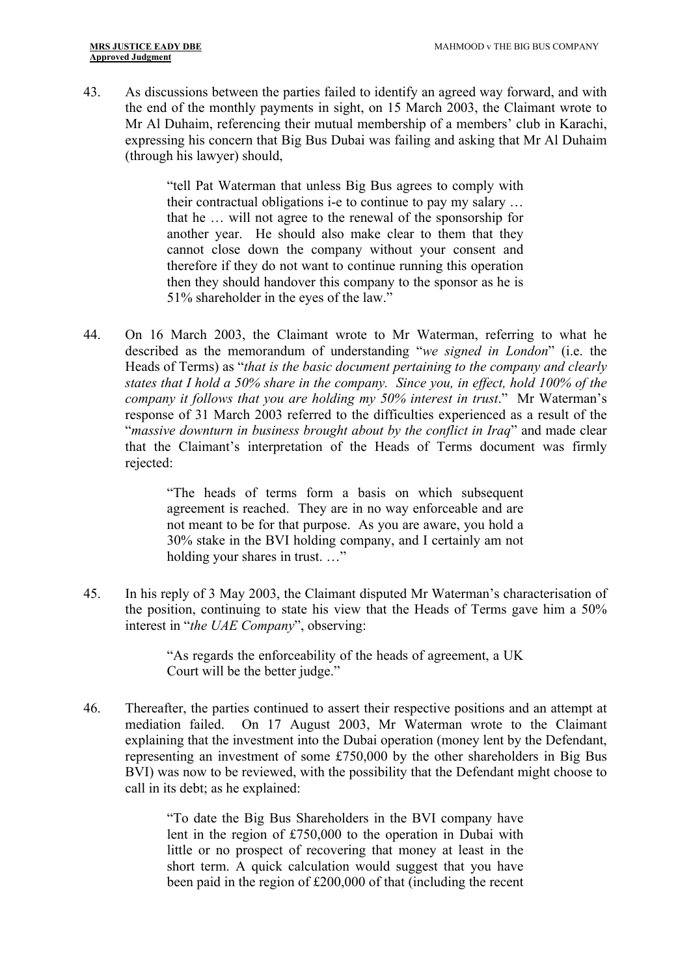43. As discussions between the parties failed to identify an agreed way forward, and with the end of the monthly payments in sight, on 15 March 2003, the Claimant wrote to Mr Al Duhaim, referencing their mutual membership of a members' club in Karachi, expressing his concern that Big Bus Dubai was failing and asking that Mr Al Duhaim (through his lawyer) should,

> "tell Pat Waterman that unless Big Bus agrees to comply with their contractual obligations i-e to continue to pay my salary … that he … will not agree to the renewal of the sponsorship for another year. He should also make clear to them that they cannot close down the company without your consent and therefore if they do not want to continue running this operation then they should handover this company to the sponsor as he is 51% shareholder in the eyes of the law."

44. On 16 March 2003, the Claimant wrote to Mr Waterman, referring to what he described as the memorandum of understanding "*we signed in London*" (i.e. the Heads of Terms) as "*that is the basic document pertaining to the company and clearly states that I hold a 50% share in the company. Since you, in effect, hold 100% of the company it follows that you are holding my 50% interest in trust*." Mr Waterman's response of 31 March 2003 referred to the difficulties experienced as a result of the "*massive downturn in business brought about by the conflict in Iraq*" and made clear that the Claimant's interpretation of the Heads of Terms document was firmly rejected:

> "The heads of terms form a basis on which subsequent agreement is reached. They are in no way enforceable and are not meant to be for that purpose. As you are aware, you hold a 30% stake in the BVI holding company, and I certainly am not holding your shares in trust. …"

45. In his reply of 3 May 2003, the Claimant disputed Mr Waterman's characterisation of the position, continuing to state his view that the Heads of Terms gave him a 50% interest in "*the UAE Company*", observing:

> "As regards the enforceability of the heads of agreement, a UK Court will be the better judge."

46. Thereafter, the parties continued to assert their respective positions and an attempt at mediation failed. On 17 August 2003, Mr Waterman wrote to the Claimant explaining that the investment into the Dubai operation (money lent by the Defendant, representing an investment of some £750,000 by the other shareholders in Big Bus BVI) was now to be reviewed, with the possibility that the Defendant might choose to call in its debt; as he explained:

> "To date the Big Bus Shareholders in the BVI company have lent in the region of £750,000 to the operation in Dubai with little or no prospect of recovering that money at least in the short term. A quick calculation would suggest that you have been paid in the region of £200,000 of that (including the recent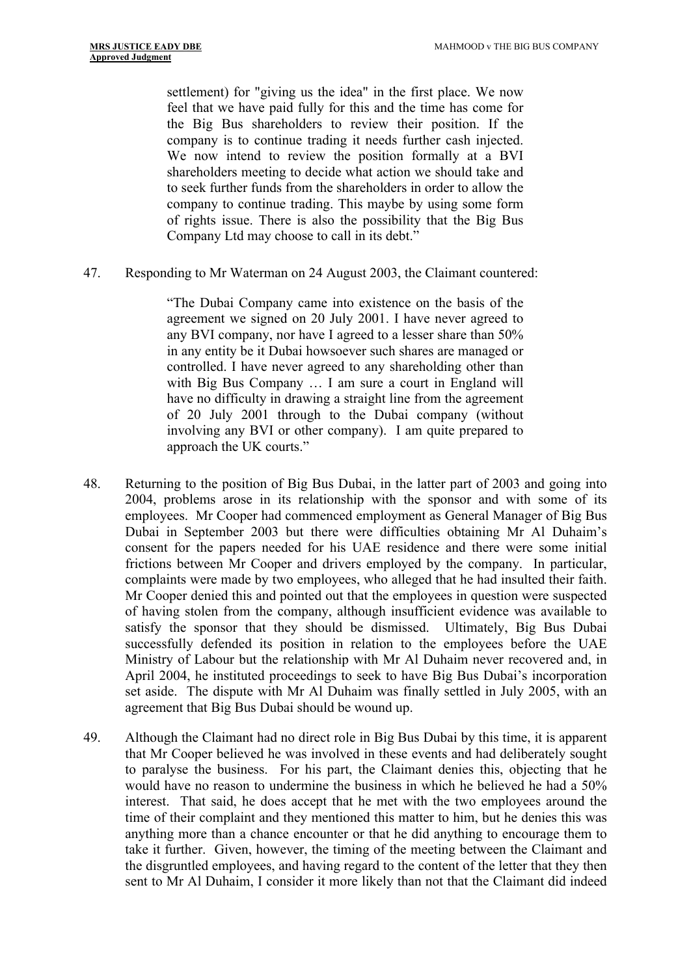settlement) for "giving us the idea" in the first place. We now feel that we have paid fully for this and the time has come for the Big Bus shareholders to review their position. If the company is to continue trading it needs further cash injected. We now intend to review the position formally at a BVI shareholders meeting to decide what action we should take and to seek further funds from the shareholders in order to allow the company to continue trading. This maybe by using some form of rights issue. There is also the possibility that the Big Bus Company Ltd may choose to call in its debt."

47. Responding to Mr Waterman on 24 August 2003, the Claimant countered:

"The Dubai Company came into existence on the basis of the agreement we signed on 20 July 2001. I have never agreed to any BVI company, nor have I agreed to a lesser share than 50% in any entity be it Dubai howsoever such shares are managed or controlled. I have never agreed to any shareholding other than with Big Bus Company … I am sure a court in England will have no difficulty in drawing a straight line from the agreement of 20 July 2001 through to the Dubai company (without involving any BVI or other company). I am quite prepared to approach the UK courts."

- 48. Returning to the position of Big Bus Dubai, in the latter part of 2003 and going into 2004, problems arose in its relationship with the sponsor and with some of its employees. Mr Cooper had commenced employment as General Manager of Big Bus Dubai in September 2003 but there were difficulties obtaining Mr Al Duhaim's consent for the papers needed for his UAE residence and there were some initial frictions between Mr Cooper and drivers employed by the company. In particular, complaints were made by two employees, who alleged that he had insulted their faith. Mr Cooper denied this and pointed out that the employees in question were suspected of having stolen from the company, although insufficient evidence was available to satisfy the sponsor that they should be dismissed. Ultimately, Big Bus Dubai successfully defended its position in relation to the employees before the UAE Ministry of Labour but the relationship with Mr Al Duhaim never recovered and, in April 2004, he instituted proceedings to seek to have Big Bus Dubai's incorporation set aside. The dispute with Mr Al Duhaim was finally settled in July 2005, with an agreement that Big Bus Dubai should be wound up.
- 49. Although the Claimant had no direct role in Big Bus Dubai by this time, it is apparent that Mr Cooper believed he was involved in these events and had deliberately sought to paralyse the business. For his part, the Claimant denies this, objecting that he would have no reason to undermine the business in which he believed he had a 50% interest. That said, he does accept that he met with the two employees around the time of their complaint and they mentioned this matter to him, but he denies this was anything more than a chance encounter or that he did anything to encourage them to take it further. Given, however, the timing of the meeting between the Claimant and the disgruntled employees, and having regard to the content of the letter that they then sent to Mr Al Duhaim, I consider it more likely than not that the Claimant did indeed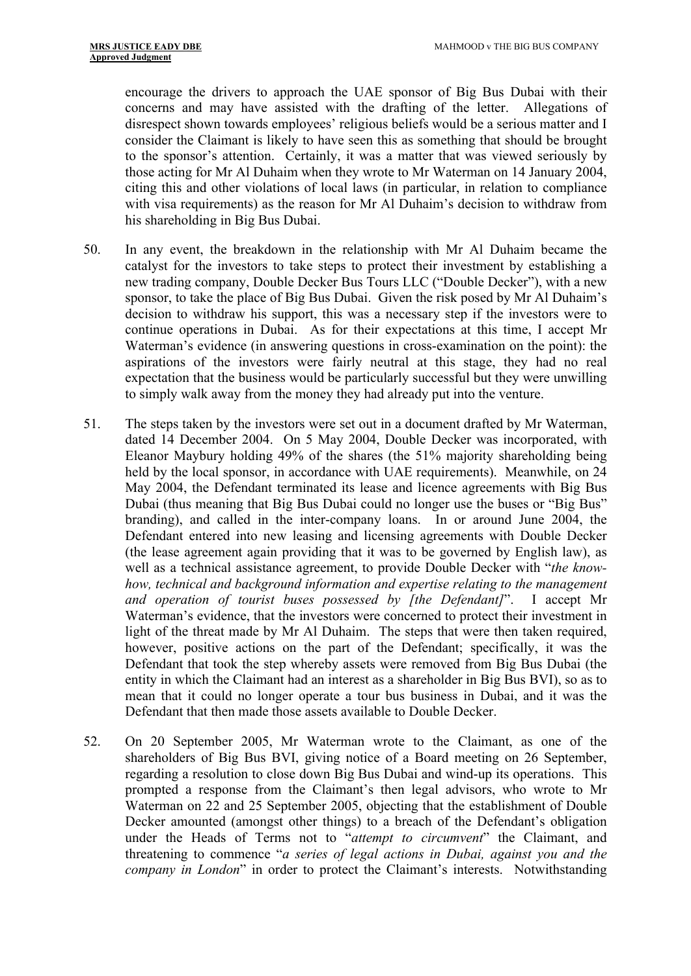encourage the drivers to approach the UAE sponsor of Big Bus Dubai with their concerns and may have assisted with the drafting of the letter. Allegations of disrespect shown towards employees' religious beliefs would be a serious matter and I consider the Claimant is likely to have seen this as something that should be brought to the sponsor's attention. Certainly, it was a matter that was viewed seriously by those acting for Mr Al Duhaim when they wrote to Mr Waterman on 14 January 2004, citing this and other violations of local laws (in particular, in relation to compliance with visa requirements) as the reason for Mr Al Duhaim's decision to withdraw from his shareholding in Big Bus Dubai.

- 50. In any event, the breakdown in the relationship with Mr Al Duhaim became the catalyst for the investors to take steps to protect their investment by establishing a new trading company, Double Decker Bus Tours LLC ("Double Decker"), with a new sponsor, to take the place of Big Bus Dubai. Given the risk posed by Mr Al Duhaim's decision to withdraw his support, this was a necessary step if the investors were to continue operations in Dubai. As for their expectations at this time, I accept Mr Waterman's evidence (in answering questions in cross-examination on the point): the aspirations of the investors were fairly neutral at this stage, they had no real expectation that the business would be particularly successful but they were unwilling to simply walk away from the money they had already put into the venture.
- 51. The steps taken by the investors were set out in a document drafted by Mr Waterman, dated 14 December 2004. On 5 May 2004, Double Decker was incorporated, with Eleanor Maybury holding 49% of the shares (the 51% majority shareholding being held by the local sponsor, in accordance with UAE requirements). Meanwhile, on 24 May 2004, the Defendant terminated its lease and licence agreements with Big Bus Dubai (thus meaning that Big Bus Dubai could no longer use the buses or "Big Bus" branding), and called in the inter-company loans. In or around June 2004, the Defendant entered into new leasing and licensing agreements with Double Decker (the lease agreement again providing that it was to be governed by English law), as well as a technical assistance agreement, to provide Double Decker with "*the knowhow, technical and background information and expertise relating to the management and operation of tourist buses possessed by [the Defendant]*". I accept Mr Waterman's evidence, that the investors were concerned to protect their investment in light of the threat made by Mr Al Duhaim. The steps that were then taken required, however, positive actions on the part of the Defendant; specifically, it was the Defendant that took the step whereby assets were removed from Big Bus Dubai (the entity in which the Claimant had an interest as a shareholder in Big Bus BVI), so as to mean that it could no longer operate a tour bus business in Dubai, and it was the Defendant that then made those assets available to Double Decker.
- 52. On 20 September 2005, Mr Waterman wrote to the Claimant, as one of the shareholders of Big Bus BVI, giving notice of a Board meeting on 26 September, regarding a resolution to close down Big Bus Dubai and wind-up its operations. This prompted a response from the Claimant's then legal advisors, who wrote to Mr Waterman on 22 and 25 September 2005, objecting that the establishment of Double Decker amounted (amongst other things) to a breach of the Defendant's obligation under the Heads of Terms not to "*attempt to circumvent*" the Claimant, and threatening to commence "*a series of legal actions in Dubai, against you and the company in London*" in order to protect the Claimant's interests. Notwithstanding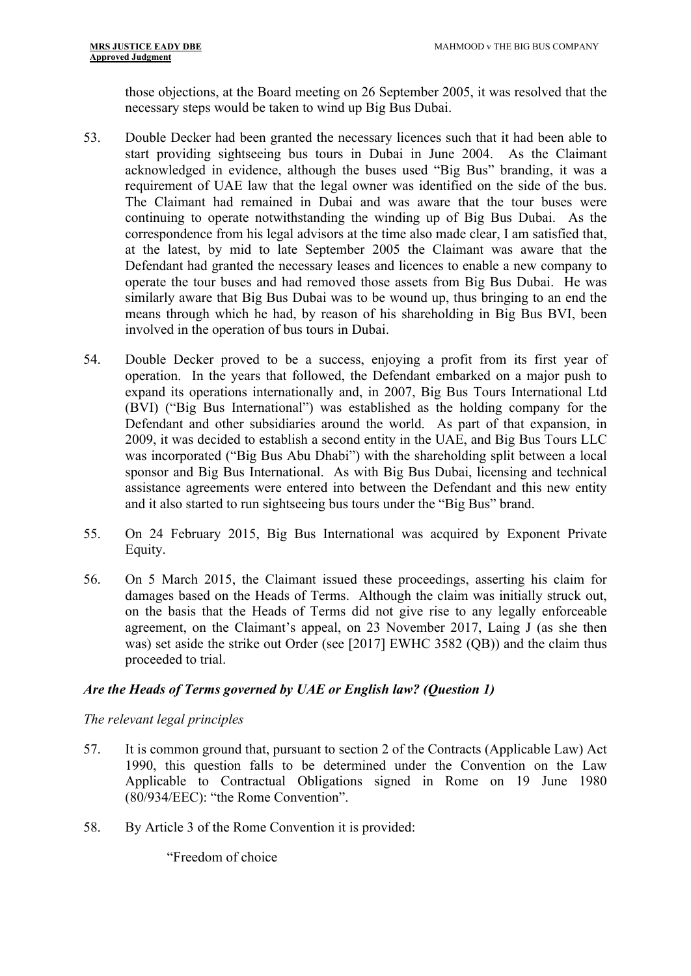those objections, at the Board meeting on 26 September 2005, it was resolved that the necessary steps would be taken to wind up Big Bus Dubai.

- 53. Double Decker had been granted the necessary licences such that it had been able to start providing sightseeing bus tours in Dubai in June 2004. As the Claimant acknowledged in evidence, although the buses used "Big Bus" branding, it was a requirement of UAE law that the legal owner was identified on the side of the bus. The Claimant had remained in Dubai and was aware that the tour buses were continuing to operate notwithstanding the winding up of Big Bus Dubai. As the correspondence from his legal advisors at the time also made clear, I am satisfied that, at the latest, by mid to late September 2005 the Claimant was aware that the Defendant had granted the necessary leases and licences to enable a new company to operate the tour buses and had removed those assets from Big Bus Dubai. He was similarly aware that Big Bus Dubai was to be wound up, thus bringing to an end the means through which he had, by reason of his shareholding in Big Bus BVI, been involved in the operation of bus tours in Dubai.
- 54. Double Decker proved to be a success, enjoying a profit from its first year of operation. In the years that followed, the Defendant embarked on a major push to expand its operations internationally and, in 2007, Big Bus Tours International Ltd (BVI) ("Big Bus International") was established as the holding company for the Defendant and other subsidiaries around the world. As part of that expansion, in 2009, it was decided to establish a second entity in the UAE, and Big Bus Tours LLC was incorporated ("Big Bus Abu Dhabi") with the shareholding split between a local sponsor and Big Bus International. As with Big Bus Dubai, licensing and technical assistance agreements were entered into between the Defendant and this new entity and it also started to run sightseeing bus tours under the "Big Bus" brand.
- 55. On 24 February 2015, Big Bus International was acquired by Exponent Private Equity.
- 56. On 5 March 2015, the Claimant issued these proceedings, asserting his claim for damages based on the Heads of Terms. Although the claim was initially struck out, on the basis that the Heads of Terms did not give rise to any legally enforceable agreement, on the Claimant's appeal, on 23 November 2017, Laing J (as she then was) set aside the strike out Order (see [2017] EWHC 3582 (QB)) and the claim thus proceeded to trial.

#### <span id="page-16-0"></span>*Are the Heads of Terms governed by UAE or English law? (Question 1)*

*The relevant legal principles*

- 57. It is common ground that, pursuant to section 2 of the Contracts (Applicable Law) Act 1990, this question falls to be determined under the Convention on the Law Applicable to Contractual Obligations signed in Rome on 19 June 1980 (80/934/EEC): "the Rome Convention".
- 58. By Article 3 of the Rome Convention it is provided:

"Freedom of choice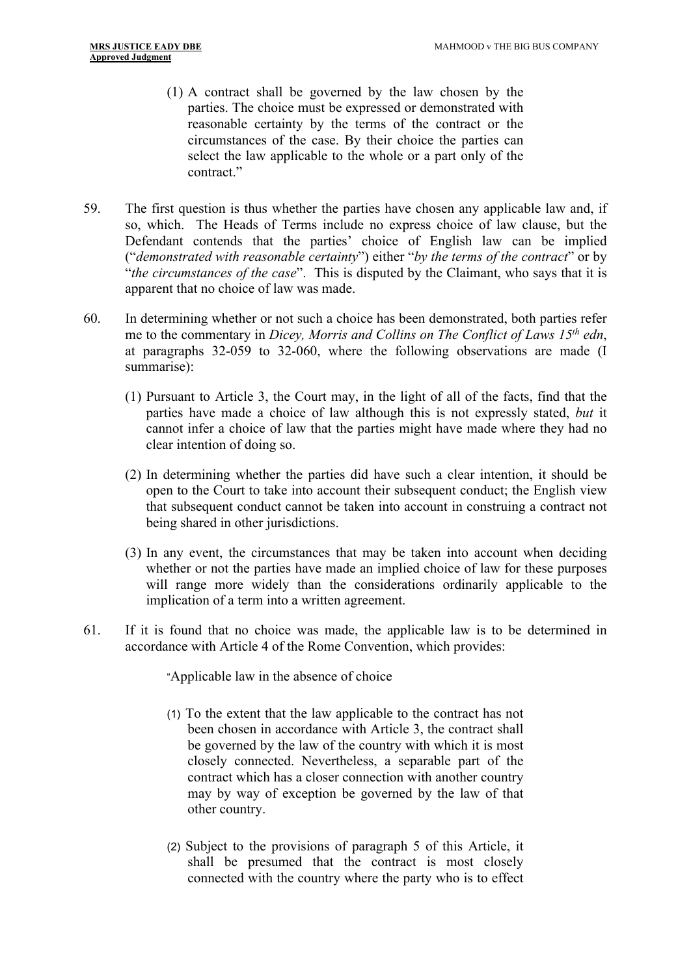- (1) A contract shall be governed by the law chosen by the parties. The choice must be expressed or demonstrated with reasonable certainty by the terms of the contract or the circumstances of the case. By their choice the parties can select the law applicable to the whole or a part only of the contract."
- 59. The first question is thus whether the parties have chosen any applicable law and, if so, which. The Heads of Terms include no express choice of law clause, but the Defendant contends that the parties' choice of English law can be implied ("*demonstrated with reasonable certainty*") either "*by the terms of the contract*" or by "*the circumstances of the case*". This is disputed by the Claimant, who says that it is apparent that no choice of law was made.
- 60. In determining whether or not such a choice has been demonstrated, both parties refer me to the commentary in *Dicey, Morris and Collins on The Conflict of Laws 15th edn*, at paragraphs 32-059 to 32-060, where the following observations are made (I summarise):
	- (1) Pursuant to Article 3, the Court may, in the light of all of the facts, find that the parties have made a choice of law although this is not expressly stated, *but* it cannot infer a choice of law that the parties might have made where they had no clear intention of doing so.
	- (2) In determining whether the parties did have such a clear intention, it should be open to the Court to take into account their subsequent conduct; the English view that subsequent conduct cannot be taken into account in construing a contract not being shared in other jurisdictions.
	- (3) In any event, the circumstances that may be taken into account when deciding whether or not the parties have made an implied choice of law for these purposes will range more widely than the considerations ordinarily applicable to the implication of a term into a written agreement.
- 61. If it is found that no choice was made, the applicable law is to be determined in accordance with Article 4 of the Rome Convention, which provides:

"Applicable law in the absence of choice

- (1) To the extent that the law applicable to the contract has not been chosen in accordance with Article 3, the contract shall be governed by the law of the country with which it is most closely connected. Nevertheless, a separable part of the contract which has a closer connection with another country may by way of exception be governed by the law of that other country.
- (2) Subject to the provisions of paragraph 5 of this Article, it shall be presumed that the contract is most closely connected with the country where the party who is to effect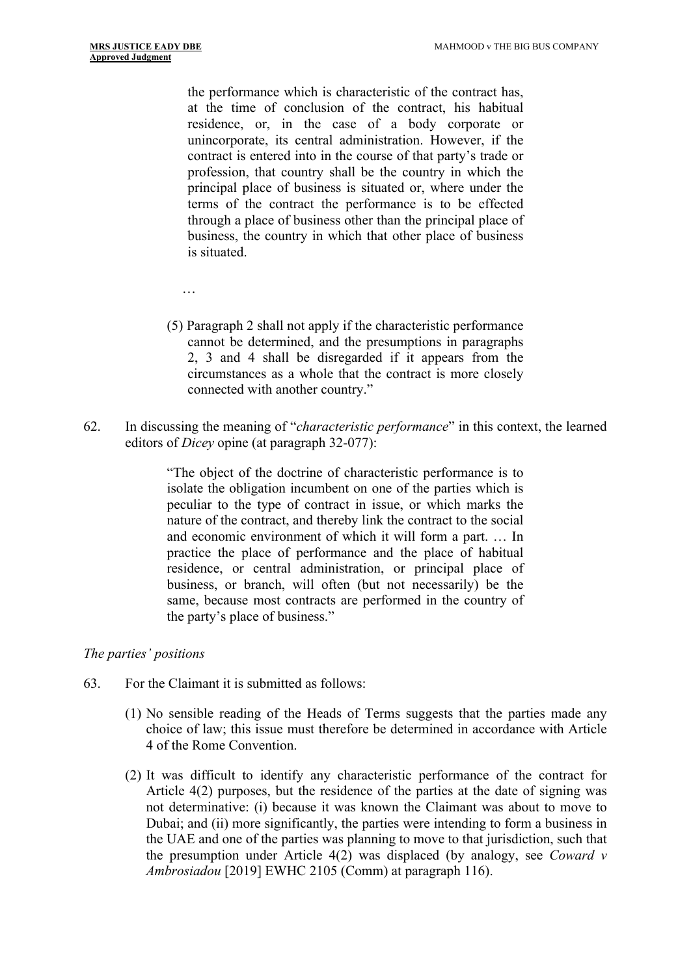…

the performance which is characteristic of the contract has, at the time of conclusion of the contract, his habitual residence, or, in the case of a body corporate or unincorporate, its central administration. However, if the contract is entered into in the course of that party's trade or profession, that country shall be the country in which the principal place of business is situated or, where under the terms of the contract the performance is to be effected through a place of business other than the principal place of business, the country in which that other place of business is situated.

- (5) Paragraph 2 shall not apply if the characteristic performance cannot be determined, and the presumptions in paragraphs 2, 3 and 4 shall be disregarded if it appears from the circumstances as a whole that the contract is more closely connected with another country."
- 62. In discussing the meaning of "*characteristic performance*" in this context, the learned editors of *Dicey* opine (at paragraph 32-077):

"The object of the doctrine of characteristic performance is to isolate the obligation incumbent on one of the parties which is peculiar to the type of contract in issue, or which marks the nature of the contract, and thereby link the contract to the social and economic environment of which it will form a part. … In practice the place of performance and the place of habitual residence, or central administration, or principal place of business, or branch, will often (but not necessarily) be the same, because most contracts are performed in the country of the party's place of business."

#### *The parties' positions*

- 63. For the Claimant it is submitted as follows:
	- (1) No sensible reading of the Heads of Terms suggests that the parties made any choice of law; this issue must therefore be determined in accordance with Article 4 of the Rome Convention.
	- (2) It was difficult to identify any characteristic performance of the contract for Article 4(2) purposes, but the residence of the parties at the date of signing was not determinative: (i) because it was known the Claimant was about to move to Dubai; and (ii) more significantly, the parties were intending to form a business in the UAE and one of the parties was planning to move to that jurisdiction, such that the presumption under Article 4(2) was displaced (by analogy, see *Coward v Ambrosiadou* [2019] EWHC 2105 (Comm) at paragraph 116).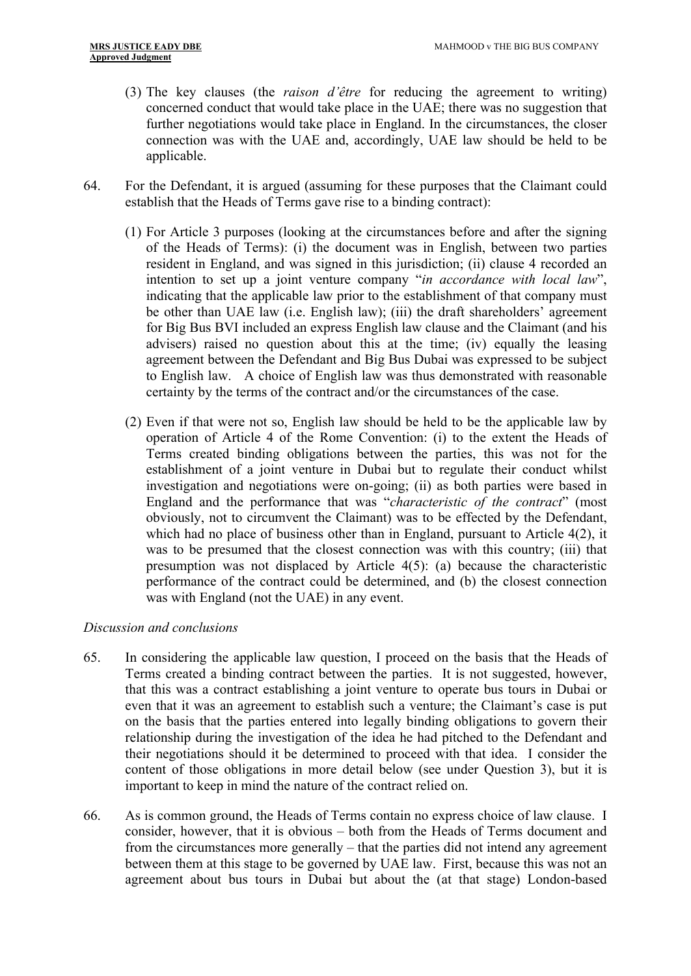- (3) The key clauses (the *raison d'être* for reducing the agreement to writing) concerned conduct that would take place in the UAE; there was no suggestion that further negotiations would take place in England. In the circumstances, the closer connection was with the UAE and, accordingly, UAE law should be held to be applicable.
- 64. For the Defendant, it is argued (assuming for these purposes that the Claimant could establish that the Heads of Terms gave rise to a binding contract):
	- (1) For Article 3 purposes (looking at the circumstances before and after the signing of the Heads of Terms): (i) the document was in English, between two parties resident in England, and was signed in this jurisdiction; (ii) clause 4 recorded an intention to set up a joint venture company "*in accordance with local law*", indicating that the applicable law prior to the establishment of that company must be other than UAE law (i.e. English law); (iii) the draft shareholders' agreement for Big Bus BVI included an express English law clause and the Claimant (and his advisers) raised no question about this at the time; (iv) equally the leasing agreement between the Defendant and Big Bus Dubai was expressed to be subject to English law. A choice of English law was thus demonstrated with reasonable certainty by the terms of the contract and/or the circumstances of the case.
	- (2) Even if that were not so, English law should be held to be the applicable law by operation of Article 4 of the Rome Convention: (i) to the extent the Heads of Terms created binding obligations between the parties, this was not for the establishment of a joint venture in Dubai but to regulate their conduct whilst investigation and negotiations were on-going; (ii) as both parties were based in England and the performance that was "*characteristic of the contract*" (most obviously, not to circumvent the Claimant) was to be effected by the Defendant, which had no place of business other than in England, pursuant to Article 4(2), it was to be presumed that the closest connection was with this country; (iii) that presumption was not displaced by Article 4(5): (a) because the characteristic performance of the contract could be determined, and (b) the closest connection was with England (not the UAE) in any event.

#### *Discussion and conclusions*

- 65. In considering the applicable law question, I proceed on the basis that the Heads of Terms created a binding contract between the parties. It is not suggested, however, that this was a contract establishing a joint venture to operate bus tours in Dubai or even that it was an agreement to establish such a venture; the Claimant's case is put on the basis that the parties entered into legally binding obligations to govern their relationship during the investigation of the idea he had pitched to the Defendant and their negotiations should it be determined to proceed with that idea. I consider the content of those obligations in more detail below (see under Question 3), but it is important to keep in mind the nature of the contract relied on.
- 66. As is common ground, the Heads of Terms contain no express choice of law clause. I consider, however, that it is obvious – both from the Heads of Terms document and from the circumstances more generally – that the parties did not intend any agreement between them at this stage to be governed by UAE law. First, because this was not an agreement about bus tours in Dubai but about the (at that stage) London-based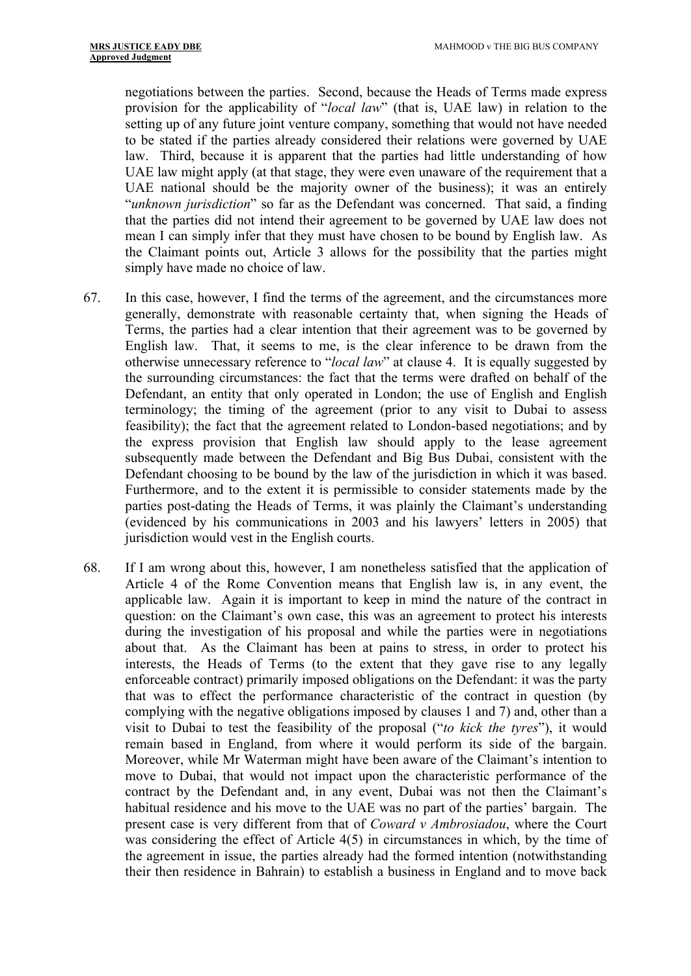negotiations between the parties. Second, because the Heads of Terms made express provision for the applicability of "*local law*" (that is, UAE law) in relation to the setting up of any future joint venture company, something that would not have needed to be stated if the parties already considered their relations were governed by UAE law. Third, because it is apparent that the parties had little understanding of how UAE law might apply (at that stage, they were even unaware of the requirement that a UAE national should be the majority owner of the business); it was an entirely "*unknown jurisdiction*" so far as the Defendant was concerned. That said, a finding that the parties did not intend their agreement to be governed by UAE law does not mean I can simply infer that they must have chosen to be bound by English law. As the Claimant points out, Article 3 allows for the possibility that the parties might simply have made no choice of law.

- 67. In this case, however, I find the terms of the agreement, and the circumstances more generally, demonstrate with reasonable certainty that, when signing the Heads of Terms, the parties had a clear intention that their agreement was to be governed by English law. That, it seems to me, is the clear inference to be drawn from the otherwise unnecessary reference to "*local law*" at clause 4. It is equally suggested by the surrounding circumstances: the fact that the terms were drafted on behalf of the Defendant, an entity that only operated in London; the use of English and English terminology; the timing of the agreement (prior to any visit to Dubai to assess feasibility); the fact that the agreement related to London-based negotiations; and by the express provision that English law should apply to the lease agreement subsequently made between the Defendant and Big Bus Dubai, consistent with the Defendant choosing to be bound by the law of the jurisdiction in which it was based. Furthermore, and to the extent it is permissible to consider statements made by the parties post-dating the Heads of Terms, it was plainly the Claimant's understanding (evidenced by his communications in 2003 and his lawyers' letters in 2005) that jurisdiction would vest in the English courts.
- 68. If I am wrong about this, however, I am nonetheless satisfied that the application of Article 4 of the Rome Convention means that English law is, in any event, the applicable law. Again it is important to keep in mind the nature of the contract in question: on the Claimant's own case, this was an agreement to protect his interests during the investigation of his proposal and while the parties were in negotiations about that. As the Claimant has been at pains to stress, in order to protect his interests, the Heads of Terms (to the extent that they gave rise to any legally enforceable contract) primarily imposed obligations on the Defendant: it was the party that was to effect the performance characteristic of the contract in question (by complying with the negative obligations imposed by clauses 1 and 7) and, other than a visit to Dubai to test the feasibility of the proposal ("*to kick the tyres*"), it would remain based in England, from where it would perform its side of the bargain. Moreover, while Mr Waterman might have been aware of the Claimant's intention to move to Dubai, that would not impact upon the characteristic performance of the contract by the Defendant and, in any event, Dubai was not then the Claimant's habitual residence and his move to the UAE was no part of the parties' bargain. The present case is very different from that of *Coward v Ambrosiadou*, where the Court was considering the effect of Article 4(5) in circumstances in which, by the time of the agreement in issue, the parties already had the formed intention (notwithstanding their then residence in Bahrain) to establish a business in England and to move back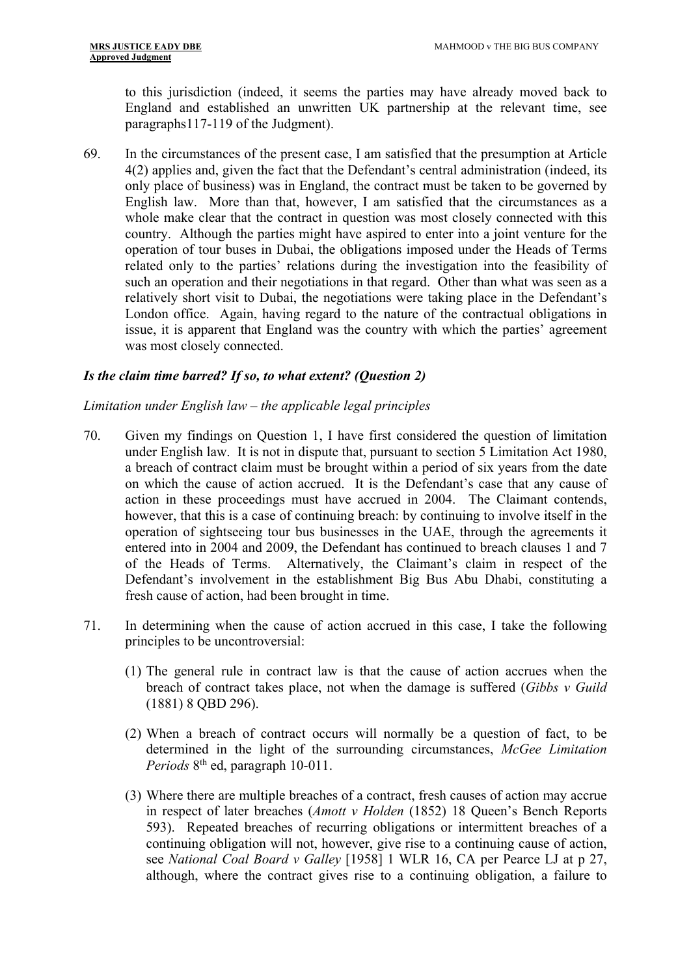to this jurisdiction (indeed, it seems the parties may have already moved back to England and established an unwritten UK partnership at the relevant time, see paragraphs117-119 of the Judgment).

69. In the circumstances of the present case, I am satisfied that the presumption at Article 4(2) applies and, given the fact that the Defendant's central administration (indeed, its only place of business) was in England, the contract must be taken to be governed by English law. More than that, however, I am satisfied that the circumstances as a whole make clear that the contract in question was most closely connected with this country. Although the parties might have aspired to enter into a joint venture for the operation of tour buses in Dubai, the obligations imposed under the Heads of Terms related only to the parties' relations during the investigation into the feasibility of such an operation and their negotiations in that regard. Other than what was seen as a relatively short visit to Dubai, the negotiations were taking place in the Defendant's London office. Again, having regard to the nature of the contractual obligations in issue, it is apparent that England was the country with which the parties' agreement was most closely connected.

# <span id="page-21-0"></span>*Is the claim time barred? If so, to what extent? (Question 2)*

# *Limitation under English law – the applicable legal principles*

- 70. Given my findings on Question 1, I have first considered the question of limitation under English law. It is not in dispute that, pursuant to section 5 Limitation Act 1980, a breach of contract claim must be brought within a period of six years from the date on which the cause of action accrued. It is the Defendant's case that any cause of action in these proceedings must have accrued in 2004. The Claimant contends, however, that this is a case of continuing breach: by continuing to involve itself in the operation of sightseeing tour bus businesses in the UAE, through the agreements it entered into in 2004 and 2009, the Defendant has continued to breach clauses 1 and 7 of the Heads of Terms. Alternatively, the Claimant's claim in respect of the Defendant's involvement in the establishment Big Bus Abu Dhabi, constituting a fresh cause of action, had been brought in time.
- 71. In determining when the cause of action accrued in this case, I take the following principles to be uncontroversial:
	- (1) The general rule in contract law is that the cause of action accrues when the breach of contract takes place, not when the damage is suffered (*Gibbs v Guild* (1881) 8 QBD 296).
	- (2) When a breach of contract occurs will normally be a question of fact, to be determined in the light of the surrounding circumstances, *McGee Limitation*  Periods 8<sup>th</sup> ed, paragraph 10-011.
	- (3) Where there are multiple breaches of a contract, fresh causes of action may accrue in respect of later breaches (*Amott v Holden* (1852) 18 Queen's Bench Reports 593). Repeated breaches of recurring obligations or intermittent breaches of a continuing obligation will not, however, give rise to a continuing cause of action, see *National Coal Board v Galley* [1958] 1 WLR 16, CA per Pearce LJ at p 27, although, where the contract gives rise to a continuing obligation, a failure to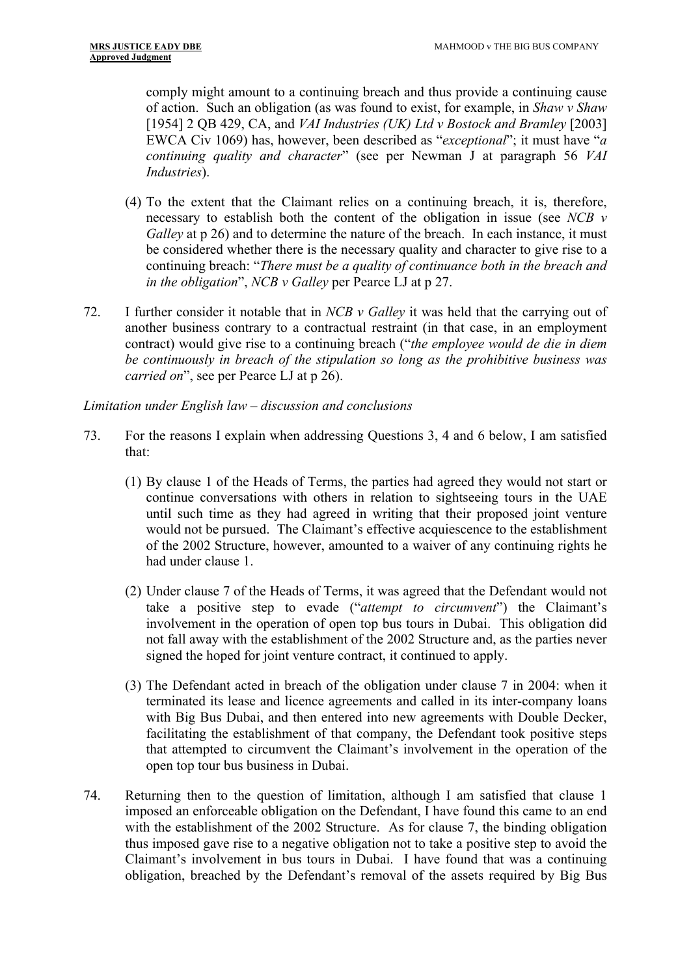comply might amount to a continuing breach and thus provide a continuing cause of action. Such an obligation (as was found to exist, for example, in *Shaw v Shaw* [1954] 2 QB 429, CA, and *VAI Industries (UK) Ltd v Bostock and Bramley* [2003] EWCA Civ 1069) has, however, been described as "*exceptional*"; it must have "*a continuing quality and character*" (see per Newman J at paragraph 56 *VAI Industries*).

- (4) To the extent that the Claimant relies on a continuing breach, it is, therefore, necessary to establish both the content of the obligation in issue (see *NCB v Galley* at p 26) and to determine the nature of the breach. In each instance, it must be considered whether there is the necessary quality and character to give rise to a continuing breach: "*There must be a quality of continuance both in the breach and in the obligation*", *NCB v Galley* per Pearce LJ at p 27.
- 72. I further consider it notable that in *NCB v Galley* it was held that the carrying out of another business contrary to a contractual restraint (in that case, in an employment contract) would give rise to a continuing breach ("*the employee would de die in diem be continuously in breach of the stipulation so long as the prohibitive business was carried on*", see per Pearce LJ at p 26).

# *Limitation under English law – discussion and conclusions*

- 73. For the reasons I explain when addressing Questions 3, 4 and 6 below, I am satisfied that:
	- (1) By clause 1 of the Heads of Terms, the parties had agreed they would not start or continue conversations with others in relation to sightseeing tours in the UAE until such time as they had agreed in writing that their proposed joint venture would not be pursued. The Claimant's effective acquiescence to the establishment of the 2002 Structure, however, amounted to a waiver of any continuing rights he had under clause 1.
	- (2) Under clause 7 of the Heads of Terms, it was agreed that the Defendant would not take a positive step to evade ("*attempt to circumvent*") the Claimant's involvement in the operation of open top bus tours in Dubai. This obligation did not fall away with the establishment of the 2002 Structure and, as the parties never signed the hoped for joint venture contract, it continued to apply.
	- (3) The Defendant acted in breach of the obligation under clause 7 in 2004: when it terminated its lease and licence agreements and called in its inter-company loans with Big Bus Dubai, and then entered into new agreements with Double Decker, facilitating the establishment of that company, the Defendant took positive steps that attempted to circumvent the Claimant's involvement in the operation of the open top tour bus business in Dubai.
- 74. Returning then to the question of limitation, although I am satisfied that clause 1 imposed an enforceable obligation on the Defendant, I have found this came to an end with the establishment of the 2002 Structure. As for clause 7, the binding obligation thus imposed gave rise to a negative obligation not to take a positive step to avoid the Claimant's involvement in bus tours in Dubai. I have found that was a continuing obligation, breached by the Defendant's removal of the assets required by Big Bus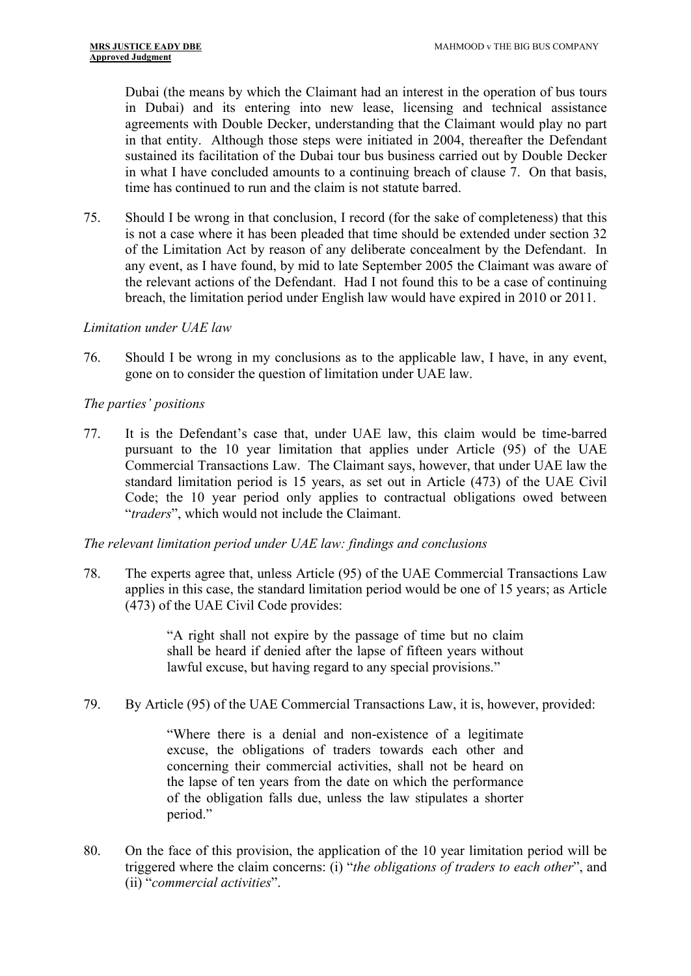Dubai (the means by which the Claimant had an interest in the operation of bus tours in Dubai) and its entering into new lease, licensing and technical assistance agreements with Double Decker, understanding that the Claimant would play no part in that entity. Although those steps were initiated in 2004, thereafter the Defendant sustained its facilitation of the Dubai tour bus business carried out by Double Decker in what I have concluded amounts to a continuing breach of clause 7. On that basis, time has continued to run and the claim is not statute barred.

75. Should I be wrong in that conclusion, I record (for the sake of completeness) that this is not a case where it has been pleaded that time should be extended under section 32 of the Limitation Act by reason of any deliberate concealment by the Defendant. In any event, as I have found, by mid to late September 2005 the Claimant was aware of the relevant actions of the Defendant. Had I not found this to be a case of continuing breach, the limitation period under English law would have expired in 2010 or 2011.

#### *Limitation under UAE law*

76. Should I be wrong in my conclusions as to the applicable law, I have, in any event, gone on to consider the question of limitation under UAE law.

#### *The parties' positions*

77. It is the Defendant's case that, under UAE law, this claim would be time-barred pursuant to the 10 year limitation that applies under Article (95) of the UAE Commercial Transactions Law. The Claimant says, however, that under UAE law the standard limitation period is 15 years, as set out in Article (473) of the UAE Civil Code; the 10 year period only applies to contractual obligations owed between "*traders*", which would not include the Claimant.

#### *The relevant limitation period under UAE law: findings and conclusions*

78. The experts agree that, unless Article (95) of the UAE Commercial Transactions Law applies in this case, the standard limitation period would be one of 15 years; as Article (473) of the UAE Civil Code provides:

> "A right shall not expire by the passage of time but no claim shall be heard if denied after the lapse of fifteen years without lawful excuse, but having regard to any special provisions."

79. By Article (95) of the UAE Commercial Transactions Law, it is, however, provided:

"Where there is a denial and non-existence of a legitimate excuse, the obligations of traders towards each other and concerning their commercial activities, shall not be heard on the lapse of ten years from the date on which the performance of the obligation falls due, unless the law stipulates a shorter period."

80. On the face of this provision, the application of the 10 year limitation period will be triggered where the claim concerns: (i) "*the obligations of traders to each other*", and (ii) "*commercial activities*".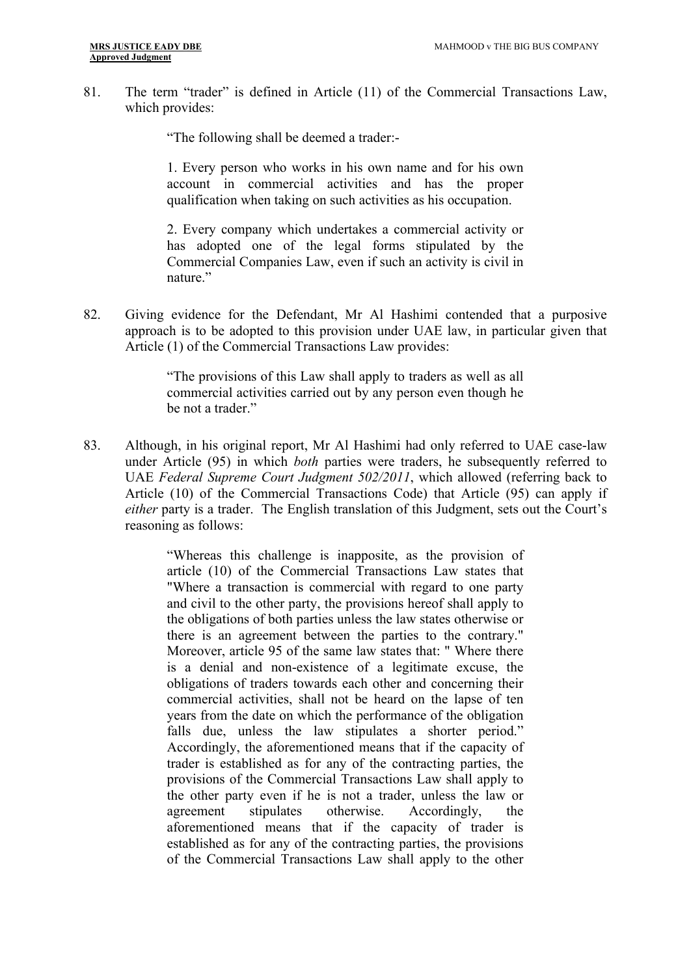81. The term "trader" is defined in Article (11) of the Commercial Transactions Law, which provides:

"The following shall be deemed a trader:-

1. Every person who works in his own name and for his own account in commercial activities and has the proper qualification when taking on such activities as his occupation.

2. Every company which undertakes a commercial activity or has adopted one of the legal forms stipulated by the Commercial Companies Law, even if such an activity is civil in nature."

82. Giving evidence for the Defendant, Mr Al Hashimi contended that a purposive approach is to be adopted to this provision under UAE law, in particular given that Article (1) of the Commercial Transactions Law provides:

> "The provisions of this Law shall apply to traders as well as all commercial activities carried out by any person even though he be not a trader."

83. Although, in his original report, Mr Al Hashimi had only referred to UAE case-law under Article (95) in which *both* parties were traders, he subsequently referred to UAE *Federal Supreme Court Judgment 502/2011*, which allowed (referring back to Article (10) of the Commercial Transactions Code) that Article (95) can apply if *either* party is a trader. The English translation of this Judgment, sets out the Court's reasoning as follows:

> "Whereas this challenge is inapposite, as the provision of article (10) of the Commercial Transactions Law states that "Where a transaction is commercial with regard to one party and civil to the other party, the provisions hereof shall apply to the obligations of both parties unless the law states otherwise or there is an agreement between the parties to the contrary." Moreover, article 95 of the same law states that: " Where there is a denial and non-existence of a legitimate excuse, the obligations of traders towards each other and concerning their commercial activities, shall not be heard on the lapse of ten years from the date on which the performance of the obligation falls due, unless the law stipulates a shorter period." Accordingly, the aforementioned means that if the capacity of trader is established as for any of the contracting parties, the provisions of the Commercial Transactions Law shall apply to the other party even if he is not a trader, unless the law or agreement stipulates otherwise. Accordingly, the aforementioned means that if the capacity of trader is established as for any of the contracting parties, the provisions of the Commercial Transactions Law shall apply to the other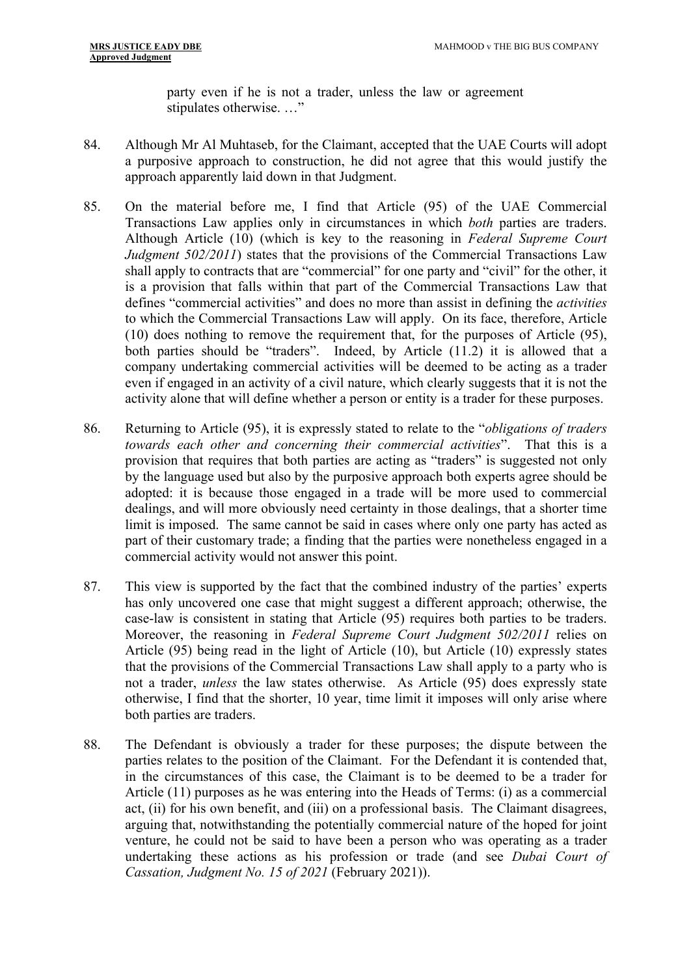party even if he is not a trader, unless the law or agreement stipulates otherwise. …"

- 84. Although Mr Al Muhtaseb, for the Claimant, accepted that the UAE Courts will adopt a purposive approach to construction, he did not agree that this would justify the approach apparently laid down in that Judgment.
- 85. On the material before me, I find that Article (95) of the UAE Commercial Transactions Law applies only in circumstances in which *both* parties are traders. Although Article (10) (which is key to the reasoning in *Federal Supreme Court Judgment 502/2011*) states that the provisions of the Commercial Transactions Law shall apply to contracts that are "commercial" for one party and "civil" for the other, it is a provision that falls within that part of the Commercial Transactions Law that defines "commercial activities" and does no more than assist in defining the *activities* to which the Commercial Transactions Law will apply. On its face, therefore, Article (10) does nothing to remove the requirement that, for the purposes of Article (95), both parties should be "traders". Indeed, by Article (11.2) it is allowed that a company undertaking commercial activities will be deemed to be acting as a trader even if engaged in an activity of a civil nature, which clearly suggests that it is not the activity alone that will define whether a person or entity is a trader for these purposes.
- 86. Returning to Article (95), it is expressly stated to relate to the "*obligations of traders towards each other and concerning their commercial activities*". That this is a provision that requires that both parties are acting as "traders" is suggested not only by the language used but also by the purposive approach both experts agree should be adopted: it is because those engaged in a trade will be more used to commercial dealings, and will more obviously need certainty in those dealings, that a shorter time limit is imposed. The same cannot be said in cases where only one party has acted as part of their customary trade; a finding that the parties were nonetheless engaged in a commercial activity would not answer this point.
- 87. This view is supported by the fact that the combined industry of the parties' experts has only uncovered one case that might suggest a different approach; otherwise, the case-law is consistent in stating that Article (95) requires both parties to be traders. Moreover, the reasoning in *Federal Supreme Court Judgment 502/2011* relies on Article (95) being read in the light of Article (10), but Article (10) expressly states that the provisions of the Commercial Transactions Law shall apply to a party who is not a trader, *unless* the law states otherwise. As Article (95) does expressly state otherwise, I find that the shorter, 10 year, time limit it imposes will only arise where both parties are traders.
- 88. The Defendant is obviously a trader for these purposes; the dispute between the parties relates to the position of the Claimant. For the Defendant it is contended that, in the circumstances of this case, the Claimant is to be deemed to be a trader for Article (11) purposes as he was entering into the Heads of Terms: (i) as a commercial act, (ii) for his own benefit, and (iii) on a professional basis. The Claimant disagrees, arguing that, notwithstanding the potentially commercial nature of the hoped for joint venture, he could not be said to have been a person who was operating as a trader undertaking these actions as his profession or trade (and see *Dubai Court of Cassation, Judgment No. 15 of 2021* (February 2021)).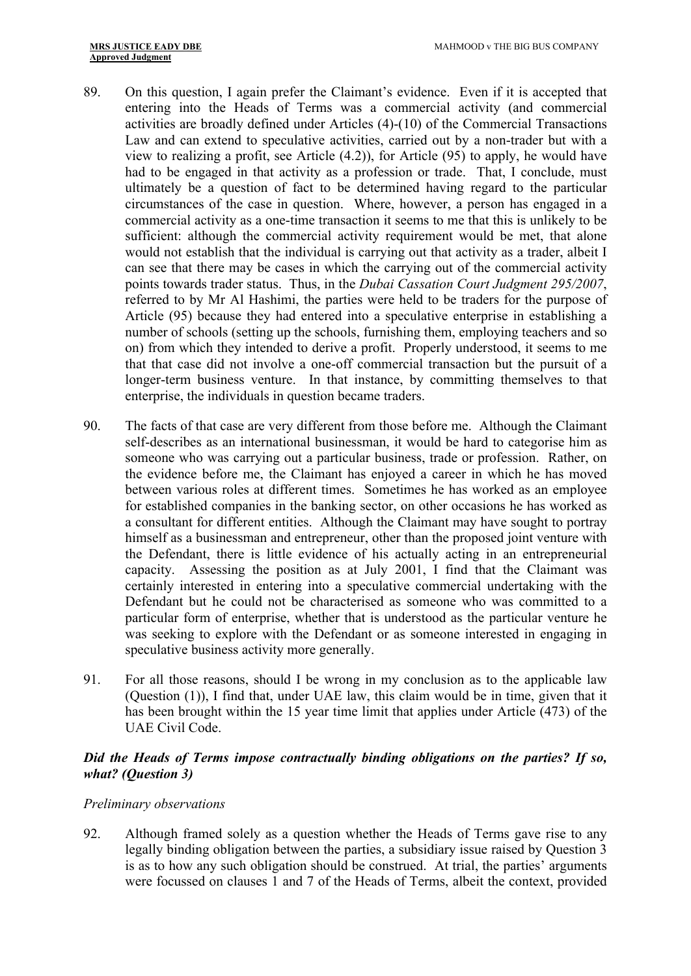- 89. On this question, I again prefer the Claimant's evidence. Even if it is accepted that entering into the Heads of Terms was a commercial activity (and commercial activities are broadly defined under Articles (4)-(10) of the Commercial Transactions Law and can extend to speculative activities, carried out by a non-trader but with a view to realizing a profit, see Article (4.2)), for Article (95) to apply, he would have had to be engaged in that activity as a profession or trade. That, I conclude, must ultimately be a question of fact to be determined having regard to the particular circumstances of the case in question. Where, however, a person has engaged in a commercial activity as a one-time transaction it seems to me that this is unlikely to be sufficient: although the commercial activity requirement would be met, that alone would not establish that the individual is carrying out that activity as a trader, albeit I can see that there may be cases in which the carrying out of the commercial activity points towards trader status. Thus, in the *Dubai Cassation Court Judgment 295/2007*, referred to by Mr Al Hashimi, the parties were held to be traders for the purpose of Article (95) because they had entered into a speculative enterprise in establishing a number of schools (setting up the schools, furnishing them, employing teachers and so on) from which they intended to derive a profit. Properly understood, it seems to me that that case did not involve a one-off commercial transaction but the pursuit of a longer-term business venture. In that instance, by committing themselves to that enterprise, the individuals in question became traders.
- 90. The facts of that case are very different from those before me. Although the Claimant self-describes as an international businessman, it would be hard to categorise him as someone who was carrying out a particular business, trade or profession. Rather, on the evidence before me, the Claimant has enjoyed a career in which he has moved between various roles at different times. Sometimes he has worked as an employee for established companies in the banking sector, on other occasions he has worked as a consultant for different entities. Although the Claimant may have sought to portray himself as a businessman and entrepreneur, other than the proposed joint venture with the Defendant, there is little evidence of his actually acting in an entrepreneurial capacity. Assessing the position as at July 2001, I find that the Claimant was certainly interested in entering into a speculative commercial undertaking with the Defendant but he could not be characterised as someone who was committed to a particular form of enterprise, whether that is understood as the particular venture he was seeking to explore with the Defendant or as someone interested in engaging in speculative business activity more generally.
- 91. For all those reasons, should I be wrong in my conclusion as to the applicable law (Question (1)), I find that, under UAE law, this claim would be in time, given that it has been brought within the 15 year time limit that applies under Article (473) of the UAE Civil Code.

# <span id="page-26-0"></span>*Did the Heads of Terms impose contractually binding obligations on the parties? If so, what? (Question 3)*

#### *Preliminary observations*

92. Although framed solely as a question whether the Heads of Terms gave rise to any legally binding obligation between the parties, a subsidiary issue raised by Question 3 is as to how any such obligation should be construed. At trial, the parties' arguments were focussed on clauses 1 and 7 of the Heads of Terms, albeit the context, provided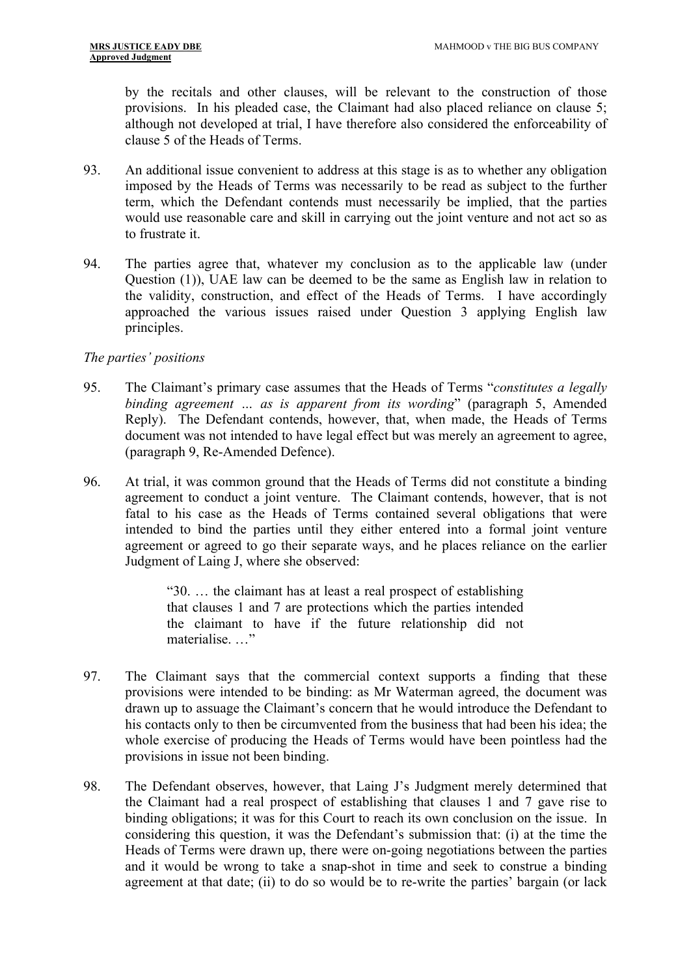by the recitals and other clauses, will be relevant to the construction of those provisions. In his pleaded case, the Claimant had also placed reliance on clause 5; although not developed at trial, I have therefore also considered the enforceability of clause 5 of the Heads of Terms.

- 93. An additional issue convenient to address at this stage is as to whether any obligation imposed by the Heads of Terms was necessarily to be read as subject to the further term, which the Defendant contends must necessarily be implied, that the parties would use reasonable care and skill in carrying out the joint venture and not act so as to frustrate it.
- 94. The parties agree that, whatever my conclusion as to the applicable law (under Question (1)), UAE law can be deemed to be the same as English law in relation to the validity, construction, and effect of the Heads of Terms. I have accordingly approached the various issues raised under Question 3 applying English law principles.

# *The parties' positions*

- 95. The Claimant's primary case assumes that the Heads of Terms "*constitutes a legally binding agreement … as is apparent from its wording*" (paragraph 5, Amended Reply). The Defendant contends, however, that, when made, the Heads of Terms document was not intended to have legal effect but was merely an agreement to agree, (paragraph 9, Re-Amended Defence).
- 96. At trial, it was common ground that the Heads of Terms did not constitute a binding agreement to conduct a joint venture. The Claimant contends, however, that is not fatal to his case as the Heads of Terms contained several obligations that were intended to bind the parties until they either entered into a formal joint venture agreement or agreed to go their separate ways, and he places reliance on the earlier Judgment of Laing J, where she observed:

"30. … the claimant has at least a real prospect of establishing that clauses 1 and 7 are protections which the parties intended the claimant to have if the future relationship did not materialise. …"

- 97. The Claimant says that the commercial context supports a finding that these provisions were intended to be binding: as Mr Waterman agreed, the document was drawn up to assuage the Claimant's concern that he would introduce the Defendant to his contacts only to then be circumvented from the business that had been his idea; the whole exercise of producing the Heads of Terms would have been pointless had the provisions in issue not been binding.
- 98. The Defendant observes, however, that Laing J's Judgment merely determined that the Claimant had a real prospect of establishing that clauses 1 and 7 gave rise to binding obligations; it was for this Court to reach its own conclusion on the issue. In considering this question, it was the Defendant's submission that: (i) at the time the Heads of Terms were drawn up, there were on-going negotiations between the parties and it would be wrong to take a snap-shot in time and seek to construe a binding agreement at that date; (ii) to do so would be to re-write the parties' bargain (or lack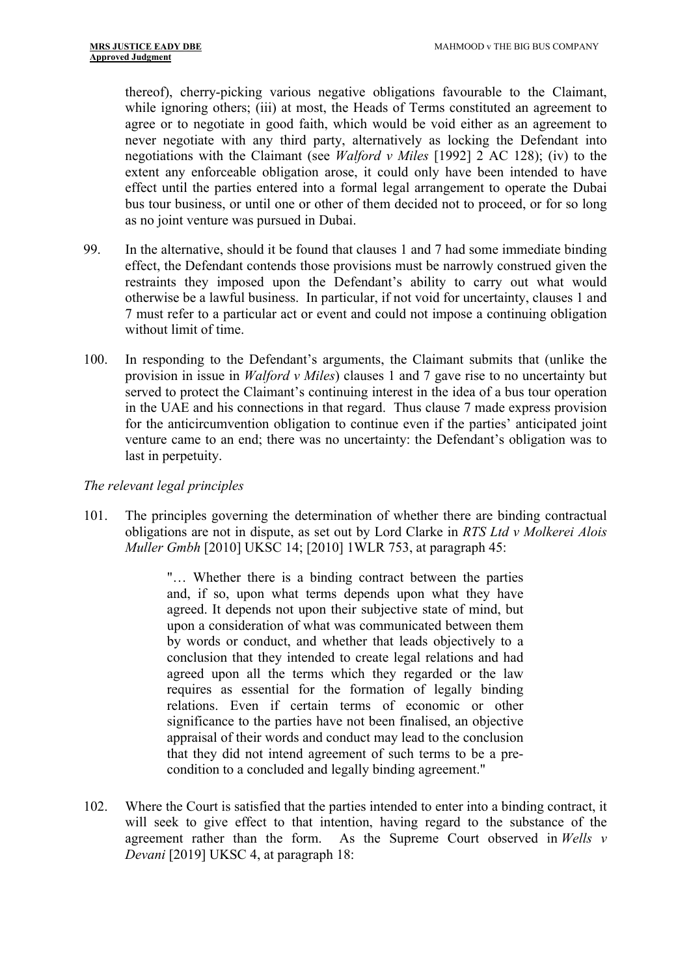thereof), cherry-picking various negative obligations favourable to the Claimant, while ignoring others; (iii) at most, the Heads of Terms constituted an agreement to agree or to negotiate in good faith, which would be void either as an agreement to never negotiate with any third party, alternatively as locking the Defendant into negotiations with the Claimant (see *Walford v Miles* [1992] 2 AC 128); (iv) to the extent any enforceable obligation arose, it could only have been intended to have effect until the parties entered into a formal legal arrangement to operate the Dubai bus tour business, or until one or other of them decided not to proceed, or for so long as no joint venture was pursued in Dubai.

- 99. In the alternative, should it be found that clauses 1 and 7 had some immediate binding effect, the Defendant contends those provisions must be narrowly construed given the restraints they imposed upon the Defendant's ability to carry out what would otherwise be a lawful business. In particular, if not void for uncertainty, clauses 1 and 7 must refer to a particular act or event and could not impose a continuing obligation without limit of time.
- 100. In responding to the Defendant's arguments, the Claimant submits that (unlike the provision in issue in *Walford v Miles*) clauses 1 and 7 gave rise to no uncertainty but served to protect the Claimant's continuing interest in the idea of a bus tour operation in the UAE and his connections in that regard. Thus clause 7 made express provision for the anticircumvention obligation to continue even if the parties' anticipated joint venture came to an end; there was no uncertainty: the Defendant's obligation was to last in perpetuity.

#### *The relevant legal principles*

101. The principles governing the determination of whether there are binding contractual obligations are not in dispute, as set out by Lord Clarke in *RTS Ltd v Molkerei Alois Muller Gmbh* [2010] UKSC 14; [2010] 1WLR 753, at paragraph 45:

> "… Whether there is a binding contract between the parties and, if so, upon what terms depends upon what they have agreed. It depends not upon their subjective state of mind, but upon a consideration of what was communicated between them by words or conduct, and whether that leads objectively to a conclusion that they intended to create legal relations and had agreed upon all the terms which they regarded or the law requires as essential for the formation of legally binding relations. Even if certain terms of economic or other significance to the parties have not been finalised, an objective appraisal of their words and conduct may lead to the conclusion that they did not intend agreement of such terms to be a precondition to a concluded and legally binding agreement."

102. Where the Court is satisfied that the parties intended to enter into a binding contract, it will seek to give effect to that intention, having regard to the substance of the agreement rather than the form. As the Supreme Court observed in *Wells v Devani* [2019] UKSC 4, at paragraph 18: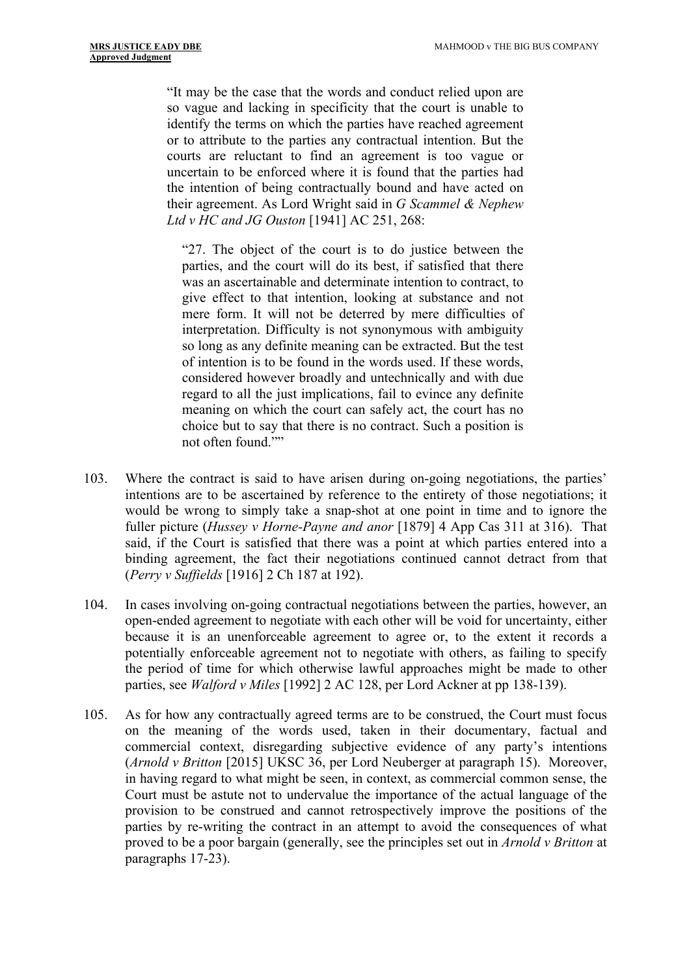"It may be the case that the words and conduct relied upon are so vague and lacking in specificity that the court is unable to identify the terms on which the parties have reached agreement or to attribute to the parties any contractual intention. But the courts are reluctant to find an agreement is too vague or uncertain to be enforced where it is found that the parties had the intention of being contractually bound and have acted on their agreement. As Lord Wright said in *G Scammel & Nephew Ltd v HC and JG Ouston* [1941] AC 251, 268:

"27. The object of the court is to do justice between the parties, and the court will do its best, if satisfied that there was an ascertainable and determinate intention to contract, to give effect to that intention, looking at substance and not mere form. It will not be deterred by mere difficulties of interpretation. Difficulty is not synonymous with ambiguity so long as any definite meaning can be extracted. But the test of intention is to be found in the words used. If these words, considered however broadly and untechnically and with due regard to all the just implications, fail to evince any definite meaning on which the court can safely act, the court has no choice but to say that there is no contract. Such a position is not often found.""

- 103. Where the contract is said to have arisen during on-going negotiations, the parties' intentions are to be ascertained by reference to the entirety of those negotiations; it would be wrong to simply take a snap-shot at one point in time and to ignore the fuller picture (*Hussey v Horne-Payne and anor* [1879] 4 App Cas 311 at 316). That said, if the Court is satisfied that there was a point at which parties entered into a binding agreement, the fact their negotiations continued cannot detract from that (*Perry v Suffields* [1916] 2 Ch 187 at 192).
- 104. In cases involving on-going contractual negotiations between the parties, however, an open-ended agreement to negotiate with each other will be void for uncertainty, either because it is an unenforceable agreement to agree or, to the extent it records a potentially enforceable agreement not to negotiate with others, as failing to specify the period of time for which otherwise lawful approaches might be made to other parties, see *Walford v Miles* [1992] 2 AC 128, per Lord Ackner at pp 138-139).
- 105. As for how any contractually agreed terms are to be construed, the Court must focus on the meaning of the words used, taken in their documentary, factual and commercial context, disregarding subjective evidence of any party's intentions (*Arnold v Britton* [2015] UKSC 36, per Lord Neuberger at paragraph 15). Moreover, in having regard to what might be seen, in context, as commercial common sense, the Court must be astute not to undervalue the importance of the actual language of the provision to be construed and cannot retrospectively improve the positions of the parties by re-writing the contract in an attempt to avoid the consequences of what proved to be a poor bargain (generally, see the principles set out in *Arnold v Britton* at paragraphs 17-23).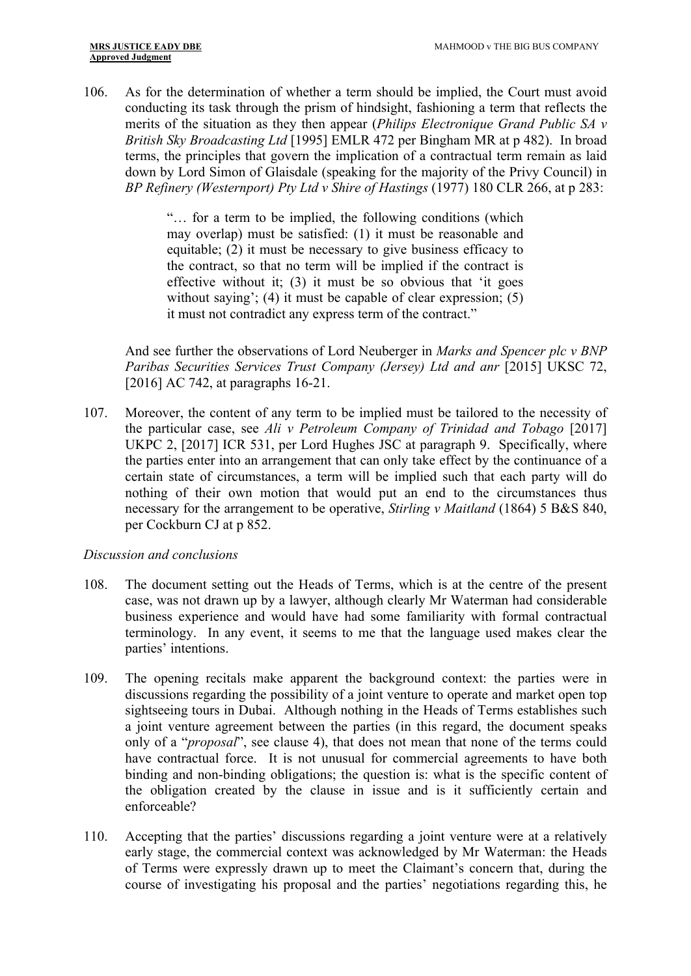106. As for the determination of whether a term should be implied, the Court must avoid conducting its task through the prism of hindsight, fashioning a term that reflects the merits of the situation as they then appear (*Philips Electronique Grand Public SA v British Sky Broadcasting Ltd* [1995] EMLR 472 per Bingham MR at p 482). In broad terms, the principles that govern the implication of a contractual term remain as laid down by Lord Simon of Glaisdale (speaking for the majority of the Privy Council) in *BP Refinery (Westernport) Pty Ltd v Shire of Hastings* (1977) 180 CLR 266, at p 283:

> "… for a term to be implied, the following conditions (which may overlap) must be satisfied: (1) it must be reasonable and equitable; (2) it must be necessary to give business efficacy to the contract, so that no term will be implied if the contract is effective without it; (3) it must be so obvious that 'it goes without saying'; (4) it must be capable of clear expression; (5) it must not contradict any express term of the contract."

 And see further the observations of Lord Neuberger in *Marks and Spencer plc v BNP Paribas Securities Services Trust Company (Jersey) Ltd and anr* [2015] UKSC 72, [2016] AC 742, at paragraphs 16-21.

107. Moreover, the content of any term to be implied must be tailored to the necessity of the particular case, see *Ali v Petroleum Company of Trinidad and Tobago* [2017] UKPC 2, [2017] ICR 531, per Lord Hughes JSC at paragraph 9. Specifically, where the parties enter into an arrangement that can only take effect by the continuance of a certain state of circumstances, a term will be implied such that each party will do nothing of their own motion that would put an end to the circumstances thus necessary for the arrangement to be operative, *Stirling v Maitland* (1864) 5 B&S 840, per Cockburn CJ at p 852.

#### *Discussion and conclusions*

- 108. The document setting out the Heads of Terms, which is at the centre of the present case, was not drawn up by a lawyer, although clearly Mr Waterman had considerable business experience and would have had some familiarity with formal contractual terminology. In any event, it seems to me that the language used makes clear the parties' intentions.
- 109. The opening recitals make apparent the background context: the parties were in discussions regarding the possibility of a joint venture to operate and market open top sightseeing tours in Dubai. Although nothing in the Heads of Terms establishes such a joint venture agreement between the parties (in this regard, the document speaks only of a "*proposal*", see clause 4), that does not mean that none of the terms could have contractual force. It is not unusual for commercial agreements to have both binding and non-binding obligations; the question is: what is the specific content of the obligation created by the clause in issue and is it sufficiently certain and enforceable?
- 110. Accepting that the parties' discussions regarding a joint venture were at a relatively early stage, the commercial context was acknowledged by Mr Waterman: the Heads of Terms were expressly drawn up to meet the Claimant's concern that, during the course of investigating his proposal and the parties' negotiations regarding this, he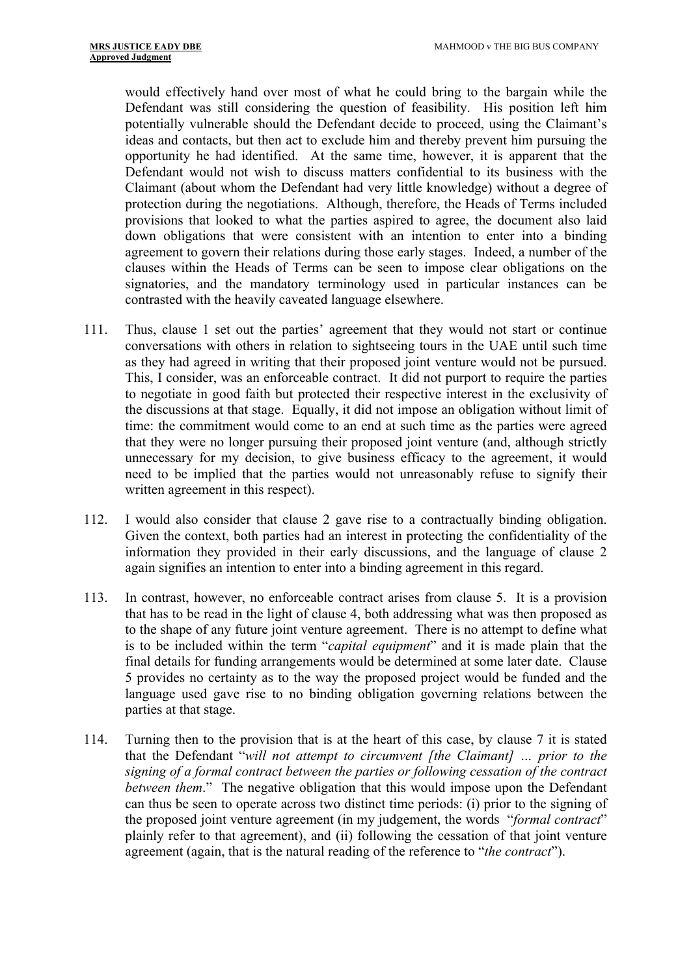would effectively hand over most of what he could bring to the bargain while the Defendant was still considering the question of feasibility. His position left him potentially vulnerable should the Defendant decide to proceed, using the Claimant's ideas and contacts, but then act to exclude him and thereby prevent him pursuing the opportunity he had identified. At the same time, however, it is apparent that the Defendant would not wish to discuss matters confidential to its business with the Claimant (about whom the Defendant had very little knowledge) without a degree of protection during the negotiations. Although, therefore, the Heads of Terms included provisions that looked to what the parties aspired to agree, the document also laid down obligations that were consistent with an intention to enter into a binding agreement to govern their relations during those early stages. Indeed, a number of the clauses within the Heads of Terms can be seen to impose clear obligations on the signatories, and the mandatory terminology used in particular instances can be contrasted with the heavily caveated language elsewhere.

- 111. Thus, clause 1 set out the parties' agreement that they would not start or continue conversations with others in relation to sightseeing tours in the UAE until such time as they had agreed in writing that their proposed joint venture would not be pursued. This, I consider, was an enforceable contract. It did not purport to require the parties to negotiate in good faith but protected their respective interest in the exclusivity of the discussions at that stage. Equally, it did not impose an obligation without limit of time: the commitment would come to an end at such time as the parties were agreed that they were no longer pursuing their proposed joint venture (and, although strictly unnecessary for my decision, to give business efficacy to the agreement, it would need to be implied that the parties would not unreasonably refuse to signify their written agreement in this respect).
- 112. I would also consider that clause 2 gave rise to a contractually binding obligation. Given the context, both parties had an interest in protecting the confidentiality of the information they provided in their early discussions, and the language of clause 2 again signifies an intention to enter into a binding agreement in this regard.
- 113. In contrast, however, no enforceable contract arises from clause 5. It is a provision that has to be read in the light of clause 4, both addressing what was then proposed as to the shape of any future joint venture agreement. There is no attempt to define what is to be included within the term "*capital equipment*" and it is made plain that the final details for funding arrangements would be determined at some later date. Clause 5 provides no certainty as to the way the proposed project would be funded and the language used gave rise to no binding obligation governing relations between the parties at that stage.
- 114. Turning then to the provision that is at the heart of this case, by clause 7 it is stated that the Defendant "*will not attempt to circumvent [the Claimant] … prior to the signing of a formal contract between the parties or following cessation of the contract between them*." The negative obligation that this would impose upon the Defendant can thus be seen to operate across two distinct time periods: (i) prior to the signing of the proposed joint venture agreement (in my judgement, the words "*formal contract*" plainly refer to that agreement), and (ii) following the cessation of that joint venture agreement (again, that is the natural reading of the reference to "*the contract*").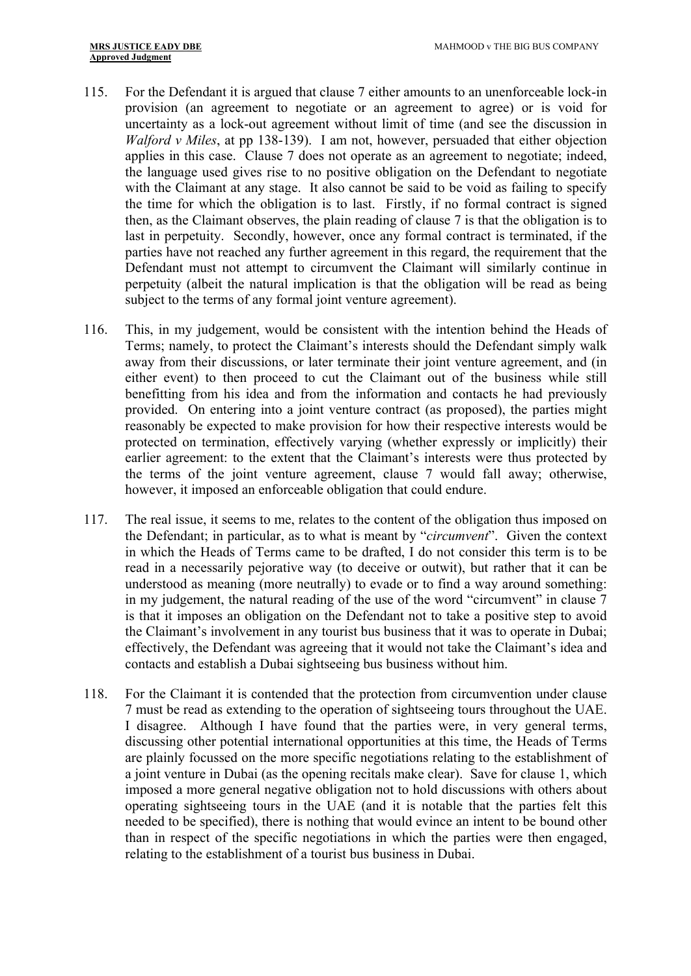- 115. For the Defendant it is argued that clause 7 either amounts to an unenforceable lock-in provision (an agreement to negotiate or an agreement to agree) or is void for uncertainty as a lock-out agreement without limit of time (and see the discussion in *Walford v Miles*, at pp 138-139). I am not, however, persuaded that either objection applies in this case. Clause 7 does not operate as an agreement to negotiate; indeed, the language used gives rise to no positive obligation on the Defendant to negotiate with the Claimant at any stage. It also cannot be said to be void as failing to specify the time for which the obligation is to last. Firstly, if no formal contract is signed then, as the Claimant observes, the plain reading of clause 7 is that the obligation is to last in perpetuity. Secondly, however, once any formal contract is terminated, if the parties have not reached any further agreement in this regard, the requirement that the Defendant must not attempt to circumvent the Claimant will similarly continue in perpetuity (albeit the natural implication is that the obligation will be read as being subject to the terms of any formal joint venture agreement).
- 116. This, in my judgement, would be consistent with the intention behind the Heads of Terms; namely, to protect the Claimant's interests should the Defendant simply walk away from their discussions, or later terminate their joint venture agreement, and (in either event) to then proceed to cut the Claimant out of the business while still benefitting from his idea and from the information and contacts he had previously provided. On entering into a joint venture contract (as proposed), the parties might reasonably be expected to make provision for how their respective interests would be protected on termination, effectively varying (whether expressly or implicitly) their earlier agreement: to the extent that the Claimant's interests were thus protected by the terms of the joint venture agreement, clause 7 would fall away; otherwise, however, it imposed an enforceable obligation that could endure.
- 117. The real issue, it seems to me, relates to the content of the obligation thus imposed on the Defendant; in particular, as to what is meant by "*circumvent*". Given the context in which the Heads of Terms came to be drafted, I do not consider this term is to be read in a necessarily pejorative way (to deceive or outwit), but rather that it can be understood as meaning (more neutrally) to evade or to find a way around something: in my judgement, the natural reading of the use of the word "circumvent" in clause 7 is that it imposes an obligation on the Defendant not to take a positive step to avoid the Claimant's involvement in any tourist bus business that it was to operate in Dubai; effectively, the Defendant was agreeing that it would not take the Claimant's idea and contacts and establish a Dubai sightseeing bus business without him.
- 118. For the Claimant it is contended that the protection from circumvention under clause 7 must be read as extending to the operation of sightseeing tours throughout the UAE. I disagree. Although I have found that the parties were, in very general terms, discussing other potential international opportunities at this time, the Heads of Terms are plainly focussed on the more specific negotiations relating to the establishment of a joint venture in Dubai (as the opening recitals make clear). Save for clause 1, which imposed a more general negative obligation not to hold discussions with others about operating sightseeing tours in the UAE (and it is notable that the parties felt this needed to be specified), there is nothing that would evince an intent to be bound other than in respect of the specific negotiations in which the parties were then engaged, relating to the establishment of a tourist bus business in Dubai.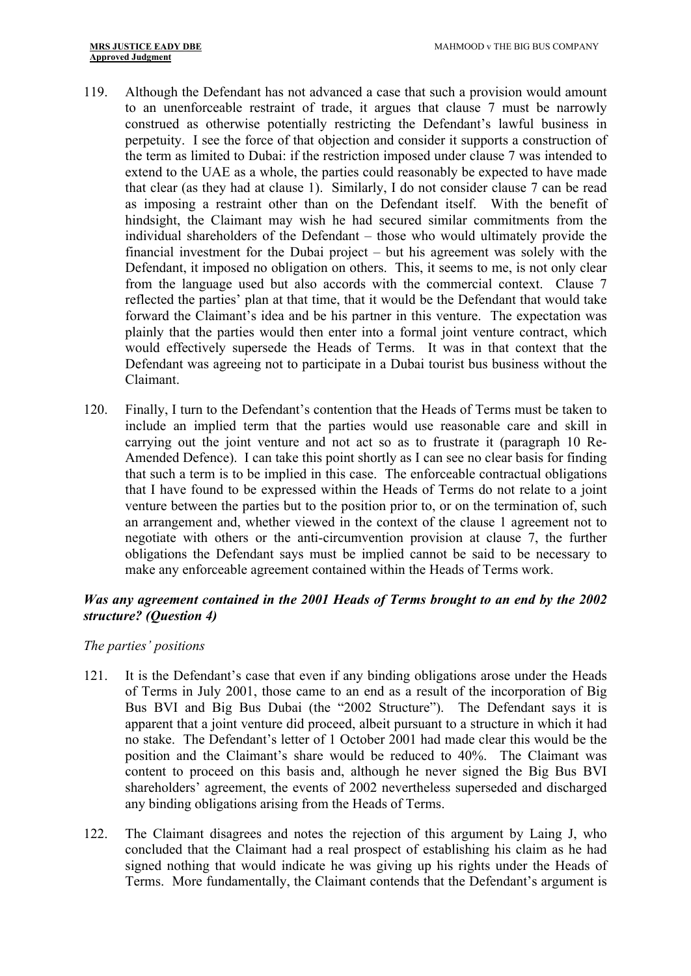- 119. Although the Defendant has not advanced a case that such a provision would amount to an unenforceable restraint of trade, it argues that clause 7 must be narrowly construed as otherwise potentially restricting the Defendant's lawful business in perpetuity. I see the force of that objection and consider it supports a construction of the term as limited to Dubai: if the restriction imposed under clause 7 was intended to extend to the UAE as a whole, the parties could reasonably be expected to have made that clear (as they had at clause 1). Similarly, I do not consider clause 7 can be read as imposing a restraint other than on the Defendant itself. With the benefit of hindsight, the Claimant may wish he had secured similar commitments from the individual shareholders of the Defendant – those who would ultimately provide the financial investment for the Dubai project – but his agreement was solely with the Defendant, it imposed no obligation on others. This, it seems to me, is not only clear from the language used but also accords with the commercial context. Clause 7 reflected the parties' plan at that time, that it would be the Defendant that would take forward the Claimant's idea and be his partner in this venture. The expectation was plainly that the parties would then enter into a formal joint venture contract, which would effectively supersede the Heads of Terms. It was in that context that the Defendant was agreeing not to participate in a Dubai tourist bus business without the Claimant.
- 120. Finally, I turn to the Defendant's contention that the Heads of Terms must be taken to include an implied term that the parties would use reasonable care and skill in carrying out the joint venture and not act so as to frustrate it (paragraph 10 Re-Amended Defence). I can take this point shortly as I can see no clear basis for finding that such a term is to be implied in this case. The enforceable contractual obligations that I have found to be expressed within the Heads of Terms do not relate to a joint venture between the parties but to the position prior to, or on the termination of, such an arrangement and, whether viewed in the context of the clause 1 agreement not to negotiate with others or the anti-circumvention provision at clause 7, the further obligations the Defendant says must be implied cannot be said to be necessary to make any enforceable agreement contained within the Heads of Terms work.

# <span id="page-33-0"></span>*Was any agreement contained in the 2001 Heads of Terms brought to an end by the 2002 structure? (Question 4)*

#### *The parties' positions*

- 121. It is the Defendant's case that even if any binding obligations arose under the Heads of Terms in July 2001, those came to an end as a result of the incorporation of Big Bus BVI and Big Bus Dubai (the "2002 Structure"). The Defendant says it is apparent that a joint venture did proceed, albeit pursuant to a structure in which it had no stake. The Defendant's letter of 1 October 2001 had made clear this would be the position and the Claimant's share would be reduced to 40%. The Claimant was content to proceed on this basis and, although he never signed the Big Bus BVI shareholders' agreement, the events of 2002 nevertheless superseded and discharged any binding obligations arising from the Heads of Terms.
- 122. The Claimant disagrees and notes the rejection of this argument by Laing J, who concluded that the Claimant had a real prospect of establishing his claim as he had signed nothing that would indicate he was giving up his rights under the Heads of Terms. More fundamentally, the Claimant contends that the Defendant's argument is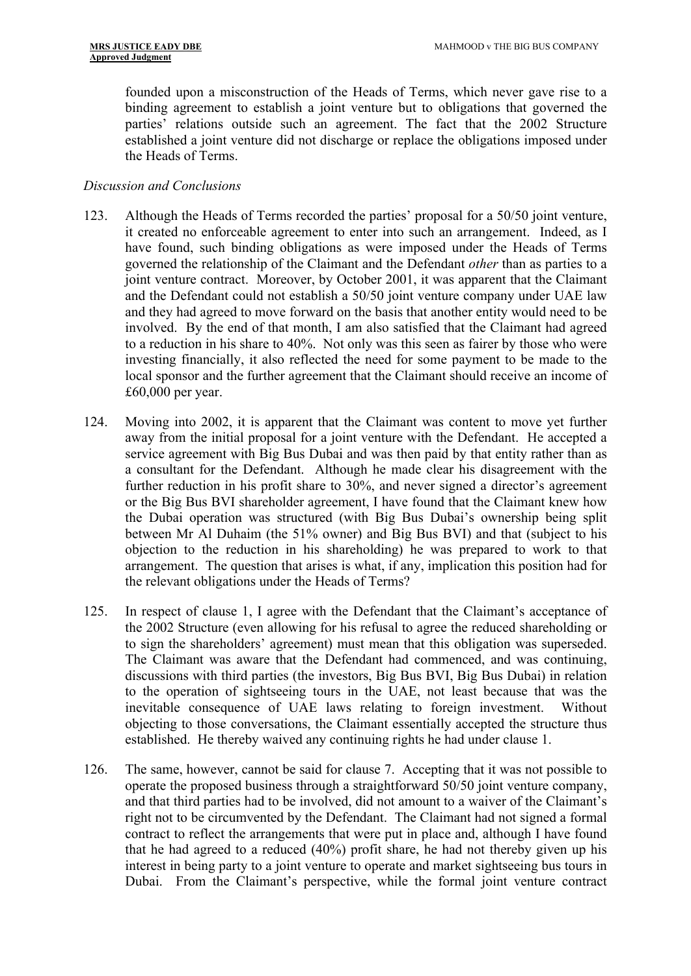founded upon a misconstruction of the Heads of Terms, which never gave rise to a binding agreement to establish a joint venture but to obligations that governed the parties' relations outside such an agreement. The fact that the 2002 Structure established a joint venture did not discharge or replace the obligations imposed under the Heads of Terms.

#### *Discussion and Conclusions*

- 123. Although the Heads of Terms recorded the parties' proposal for a 50/50 joint venture, it created no enforceable agreement to enter into such an arrangement. Indeed, as I have found, such binding obligations as were imposed under the Heads of Terms governed the relationship of the Claimant and the Defendant *other* than as parties to a joint venture contract. Moreover, by October 2001, it was apparent that the Claimant and the Defendant could not establish a 50/50 joint venture company under UAE law and they had agreed to move forward on the basis that another entity would need to be involved. By the end of that month, I am also satisfied that the Claimant had agreed to a reduction in his share to 40%. Not only was this seen as fairer by those who were investing financially, it also reflected the need for some payment to be made to the local sponsor and the further agreement that the Claimant should receive an income of £60,000 per year.
- 124. Moving into 2002, it is apparent that the Claimant was content to move yet further away from the initial proposal for a joint venture with the Defendant. He accepted a service agreement with Big Bus Dubai and was then paid by that entity rather than as a consultant for the Defendant. Although he made clear his disagreement with the further reduction in his profit share to 30%, and never signed a director's agreement or the Big Bus BVI shareholder agreement, I have found that the Claimant knew how the Dubai operation was structured (with Big Bus Dubai's ownership being split between Mr Al Duhaim (the 51% owner) and Big Bus BVI) and that (subject to his objection to the reduction in his shareholding) he was prepared to work to that arrangement. The question that arises is what, if any, implication this position had for the relevant obligations under the Heads of Terms?
- 125. In respect of clause 1, I agree with the Defendant that the Claimant's acceptance of the 2002 Structure (even allowing for his refusal to agree the reduced shareholding or to sign the shareholders' agreement) must mean that this obligation was superseded. The Claimant was aware that the Defendant had commenced, and was continuing, discussions with third parties (the investors, Big Bus BVI, Big Bus Dubai) in relation to the operation of sightseeing tours in the UAE, not least because that was the inevitable consequence of UAE laws relating to foreign investment. Without objecting to those conversations, the Claimant essentially accepted the structure thus established. He thereby waived any continuing rights he had under clause 1.
- 126. The same, however, cannot be said for clause 7. Accepting that it was not possible to operate the proposed business through a straightforward 50/50 joint venture company, and that third parties had to be involved, did not amount to a waiver of the Claimant's right not to be circumvented by the Defendant. The Claimant had not signed a formal contract to reflect the arrangements that were put in place and, although I have found that he had agreed to a reduced  $(40\%)$  profit share, he had not thereby given up his interest in being party to a joint venture to operate and market sightseeing bus tours in Dubai. From the Claimant's perspective, while the formal joint venture contract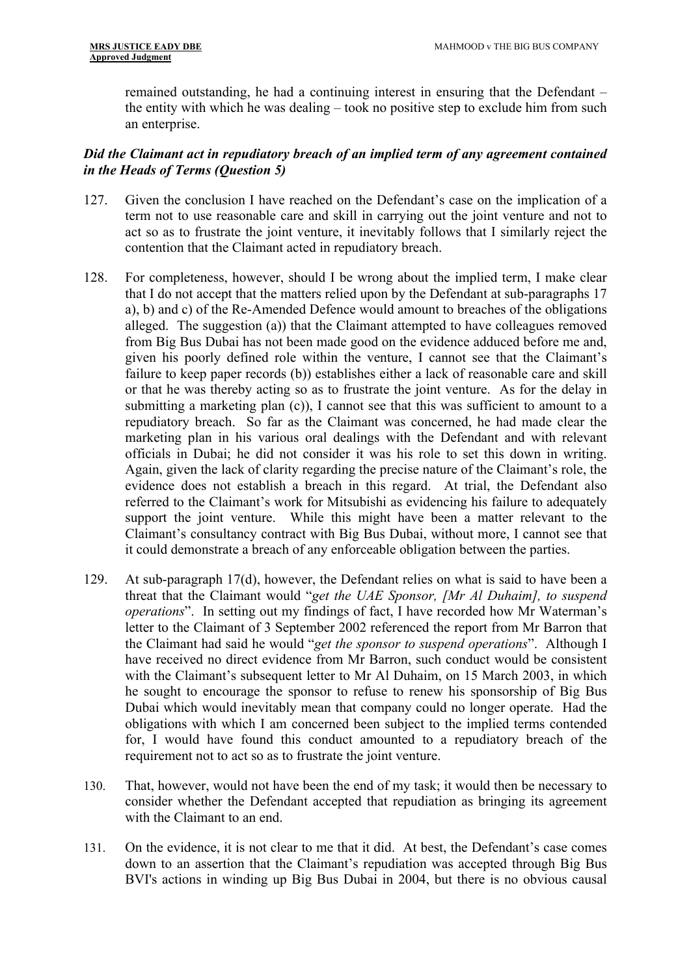remained outstanding, he had a continuing interest in ensuring that the Defendant – the entity with which he was dealing – took no positive step to exclude him from such an enterprise.

# <span id="page-35-0"></span>*Did the Claimant act in repudiatory breach of an implied term of any agreement contained in the Heads of Terms (Question 5)*

- 127. Given the conclusion I have reached on the Defendant's case on the implication of a term not to use reasonable care and skill in carrying out the joint venture and not to act so as to frustrate the joint venture, it inevitably follows that I similarly reject the contention that the Claimant acted in repudiatory breach.
- 128. For completeness, however, should I be wrong about the implied term, I make clear that I do not accept that the matters relied upon by the Defendant at sub-paragraphs 17 a), b) and c) of the Re-Amended Defence would amount to breaches of the obligations alleged. The suggestion (a)) that the Claimant attempted to have colleagues removed from Big Bus Dubai has not been made good on the evidence adduced before me and, given his poorly defined role within the venture, I cannot see that the Claimant's failure to keep paper records (b)) establishes either a lack of reasonable care and skill or that he was thereby acting so as to frustrate the joint venture. As for the delay in submitting a marketing plan (c)), I cannot see that this was sufficient to amount to a repudiatory breach. So far as the Claimant was concerned, he had made clear the marketing plan in his various oral dealings with the Defendant and with relevant officials in Dubai; he did not consider it was his role to set this down in writing. Again, given the lack of clarity regarding the precise nature of the Claimant's role, the evidence does not establish a breach in this regard. At trial, the Defendant also referred to the Claimant's work for Mitsubishi as evidencing his failure to adequately support the joint venture. While this might have been a matter relevant to the Claimant's consultancy contract with Big Bus Dubai, without more, I cannot see that it could demonstrate a breach of any enforceable obligation between the parties.
- 129. At sub-paragraph 17(d), however, the Defendant relies on what is said to have been a threat that the Claimant would "*get the UAE Sponsor, [Mr Al Duhaim], to suspend operations*". In setting out my findings of fact, I have recorded how Mr Waterman's letter to the Claimant of 3 September 2002 referenced the report from Mr Barron that the Claimant had said he would "*get the sponsor to suspend operations*". Although I have received no direct evidence from Mr Barron, such conduct would be consistent with the Claimant's subsequent letter to Mr Al Duhaim, on 15 March 2003, in which he sought to encourage the sponsor to refuse to renew his sponsorship of Big Bus Dubai which would inevitably mean that company could no longer operate. Had the obligations with which I am concerned been subject to the implied terms contended for, I would have found this conduct amounted to a repudiatory breach of the requirement not to act so as to frustrate the joint venture.
- 130. That, however, would not have been the end of my task; it would then be necessary to consider whether the Defendant accepted that repudiation as bringing its agreement with the Claimant to an end.
- 131. On the evidence, it is not clear to me that it did. At best, the Defendant's case comes down to an assertion that the Claimant's repudiation was accepted through Big Bus BVI's actions in winding up Big Bus Dubai in 2004, but there is no obvious causal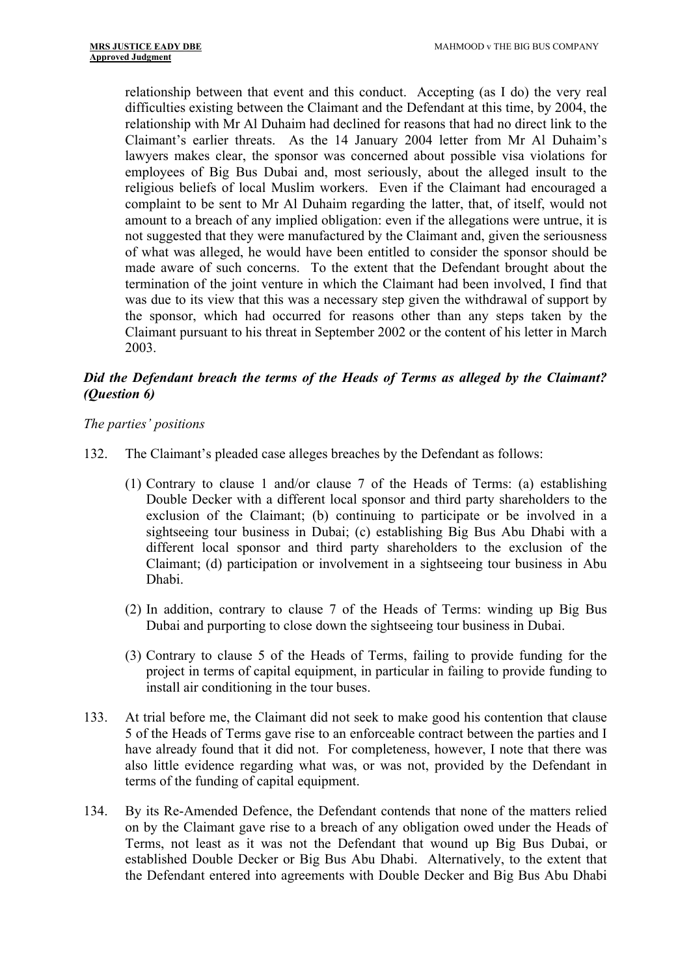relationship between that event and this conduct. Accepting (as I do) the very real difficulties existing between the Claimant and the Defendant at this time, by 2004, the relationship with Mr Al Duhaim had declined for reasons that had no direct link to the Claimant's earlier threats. As the 14 January 2004 letter from Mr Al Duhaim's lawyers makes clear, the sponsor was concerned about possible visa violations for employees of Big Bus Dubai and, most seriously, about the alleged insult to the religious beliefs of local Muslim workers. Even if the Claimant had encouraged a complaint to be sent to Mr Al Duhaim regarding the latter, that, of itself, would not amount to a breach of any implied obligation: even if the allegations were untrue, it is not suggested that they were manufactured by the Claimant and, given the seriousness of what was alleged, he would have been entitled to consider the sponsor should be made aware of such concerns. To the extent that the Defendant brought about the termination of the joint venture in which the Claimant had been involved, I find that was due to its view that this was a necessary step given the withdrawal of support by the sponsor, which had occurred for reasons other than any steps taken by the Claimant pursuant to his threat in September 2002 or the content of his letter in March 2003.

# <span id="page-36-0"></span>*Did the Defendant breach the terms of the Heads of Terms as alleged by the Claimant? (Question 6)*

# *The parties' positions*

- 132. The Claimant's pleaded case alleges breaches by the Defendant as follows:
	- (1) Contrary to clause 1 and/or clause 7 of the Heads of Terms: (a) establishing Double Decker with a different local sponsor and third party shareholders to the exclusion of the Claimant; (b) continuing to participate or be involved in a sightseeing tour business in Dubai; (c) establishing Big Bus Abu Dhabi with a different local sponsor and third party shareholders to the exclusion of the Claimant; (d) participation or involvement in a sightseeing tour business in Abu Dhabi.
	- (2) In addition, contrary to clause 7 of the Heads of Terms: winding up Big Bus Dubai and purporting to close down the sightseeing tour business in Dubai.
	- (3) Contrary to clause 5 of the Heads of Terms, failing to provide funding for the project in terms of capital equipment, in particular in failing to provide funding to install air conditioning in the tour buses.
- 133. At trial before me, the Claimant did not seek to make good his contention that clause 5 of the Heads of Terms gave rise to an enforceable contract between the parties and I have already found that it did not. For completeness, however, I note that there was also little evidence regarding what was, or was not, provided by the Defendant in terms of the funding of capital equipment.
- 134. By its Re-Amended Defence, the Defendant contends that none of the matters relied on by the Claimant gave rise to a breach of any obligation owed under the Heads of Terms, not least as it was not the Defendant that wound up Big Bus Dubai, or established Double Decker or Big Bus Abu Dhabi. Alternatively, to the extent that the Defendant entered into agreements with Double Decker and Big Bus Abu Dhabi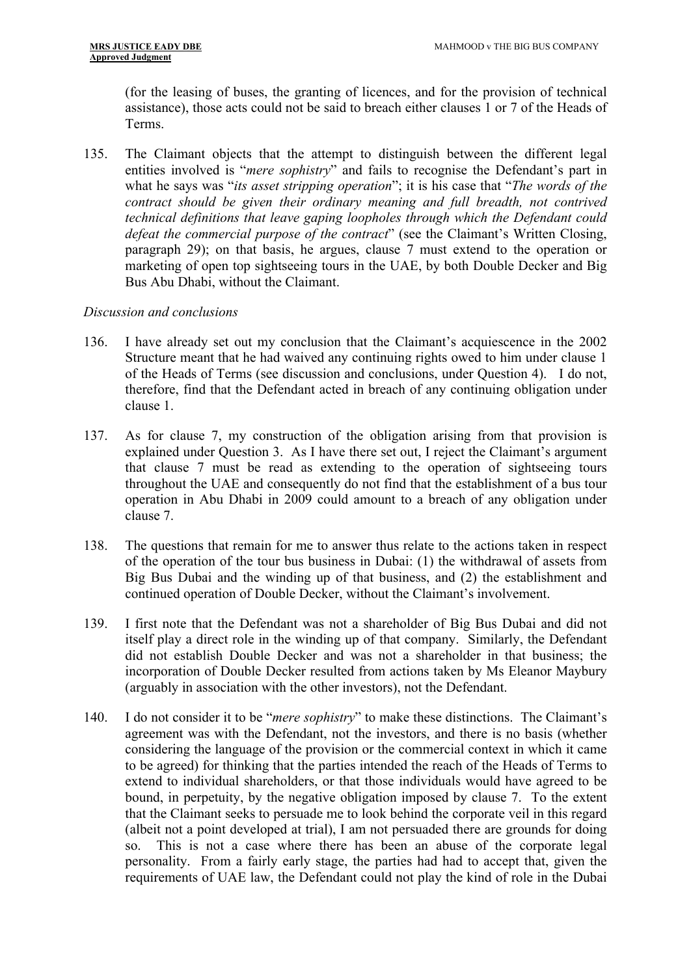(for the leasing of buses, the granting of licences, and for the provision of technical assistance), those acts could not be said to breach either clauses 1 or 7 of the Heads of Terms.

135. The Claimant objects that the attempt to distinguish between the different legal entities involved is "*mere sophistry*" and fails to recognise the Defendant's part in what he says was "*its asset stripping operation*"; it is his case that "*The words of the contract should be given their ordinary meaning and full breadth, not contrived technical definitions that leave gaping loopholes through which the Defendant could defeat the commercial purpose of the contract*" (see the Claimant's Written Closing, paragraph 29); on that basis, he argues, clause 7 must extend to the operation or marketing of open top sightseeing tours in the UAE, by both Double Decker and Big Bus Abu Dhabi, without the Claimant.

#### *Discussion and conclusions*

- 136. I have already set out my conclusion that the Claimant's acquiescence in the 2002 Structure meant that he had waived any continuing rights owed to him under clause 1 of the Heads of Terms (see discussion and conclusions, under Question 4). I do not, therefore, find that the Defendant acted in breach of any continuing obligation under clause 1.
- 137. As for clause 7, my construction of the obligation arising from that provision is explained under Question 3. As I have there set out, I reject the Claimant's argument that clause 7 must be read as extending to the operation of sightseeing tours throughout the UAE and consequently do not find that the establishment of a bus tour operation in Abu Dhabi in 2009 could amount to a breach of any obligation under clause 7.
- 138. The questions that remain for me to answer thus relate to the actions taken in respect of the operation of the tour bus business in Dubai: (1) the withdrawal of assets from Big Bus Dubai and the winding up of that business, and (2) the establishment and continued operation of Double Decker, without the Claimant's involvement.
- 139. I first note that the Defendant was not a shareholder of Big Bus Dubai and did not itself play a direct role in the winding up of that company. Similarly, the Defendant did not establish Double Decker and was not a shareholder in that business; the incorporation of Double Decker resulted from actions taken by Ms Eleanor Maybury (arguably in association with the other investors), not the Defendant.
- 140. I do not consider it to be "*mere sophistry*" to make these distinctions. The Claimant's agreement was with the Defendant, not the investors, and there is no basis (whether considering the language of the provision or the commercial context in which it came to be agreed) for thinking that the parties intended the reach of the Heads of Terms to extend to individual shareholders, or that those individuals would have agreed to be bound, in perpetuity, by the negative obligation imposed by clause 7. To the extent that the Claimant seeks to persuade me to look behind the corporate veil in this regard (albeit not a point developed at trial), I am not persuaded there are grounds for doing so. This is not a case where there has been an abuse of the corporate legal personality. From a fairly early stage, the parties had had to accept that, given the requirements of UAE law, the Defendant could not play the kind of role in the Dubai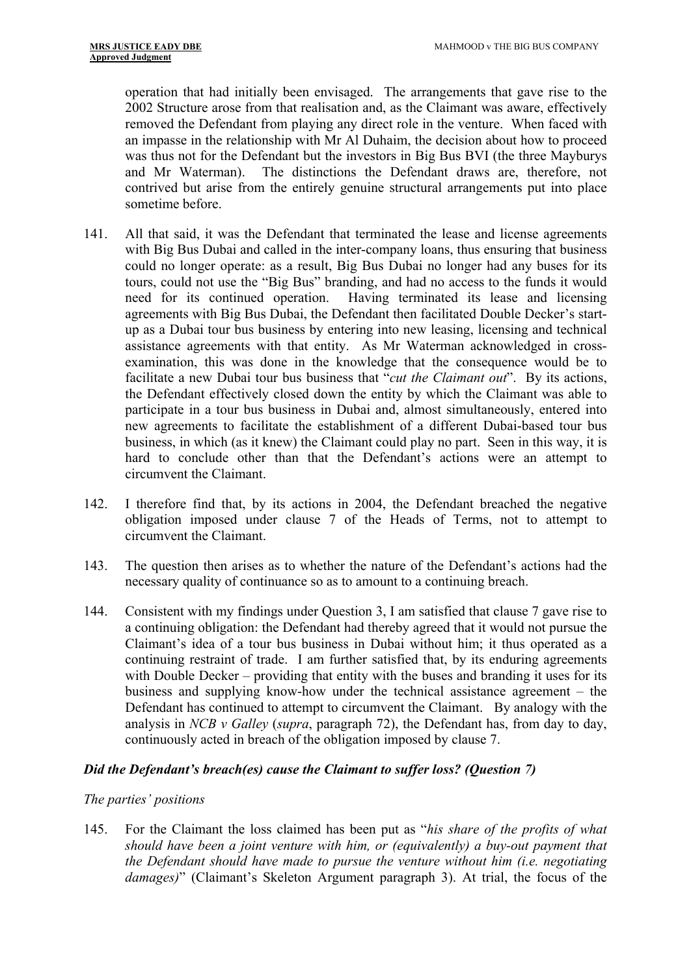operation that had initially been envisaged. The arrangements that gave rise to the 2002 Structure arose from that realisation and, as the Claimant was aware, effectively removed the Defendant from playing any direct role in the venture. When faced with an impasse in the relationship with Mr Al Duhaim, the decision about how to proceed was thus not for the Defendant but the investors in Big Bus BVI (the three Mayburys and Mr Waterman). The distinctions the Defendant draws are, therefore, not contrived but arise from the entirely genuine structural arrangements put into place sometime before.

- 141. All that said, it was the Defendant that terminated the lease and license agreements with Big Bus Dubai and called in the inter-company loans, thus ensuring that business could no longer operate: as a result, Big Bus Dubai no longer had any buses for its tours, could not use the "Big Bus" branding, and had no access to the funds it would need for its continued operation. Having terminated its lease and licensing agreements with Big Bus Dubai, the Defendant then facilitated Double Decker's startup as a Dubai tour bus business by entering into new leasing, licensing and technical assistance agreements with that entity. As Mr Waterman acknowledged in crossexamination, this was done in the knowledge that the consequence would be to facilitate a new Dubai tour bus business that "*cut the Claimant out*". By its actions, the Defendant effectively closed down the entity by which the Claimant was able to participate in a tour bus business in Dubai and, almost simultaneously, entered into new agreements to facilitate the establishment of a different Dubai-based tour bus business, in which (as it knew) the Claimant could play no part. Seen in this way, it is hard to conclude other than that the Defendant's actions were an attempt to circumvent the Claimant.
- 142. I therefore find that, by its actions in 2004, the Defendant breached the negative obligation imposed under clause 7 of the Heads of Terms, not to attempt to circumvent the Claimant.
- 143. The question then arises as to whether the nature of the Defendant's actions had the necessary quality of continuance so as to amount to a continuing breach.
- 144. Consistent with my findings under Question 3, I am satisfied that clause 7 gave rise to a continuing obligation: the Defendant had thereby agreed that it would not pursue the Claimant's idea of a tour bus business in Dubai without him; it thus operated as a continuing restraint of trade. I am further satisfied that, by its enduring agreements with Double Decker – providing that entity with the buses and branding it uses for its business and supplying know-how under the technical assistance agreement – the Defendant has continued to attempt to circumvent the Claimant. By analogy with the analysis in *NCB v Galley* (*supra*, paragraph 72), the Defendant has, from day to day, continuously acted in breach of the obligation imposed by clause 7.

#### <span id="page-38-0"></span>*Did the Defendant's breach(es) cause the Claimant to suffer loss? (Question 7)*

#### *The parties' positions*

145. For the Claimant the loss claimed has been put as "*his share of the profits of what should have been a joint venture with him, or (equivalently) a buy-out payment that the Defendant should have made to pursue the venture without him (i.e. negotiating damages)*" (Claimant's Skeleton Argument paragraph 3). At trial, the focus of the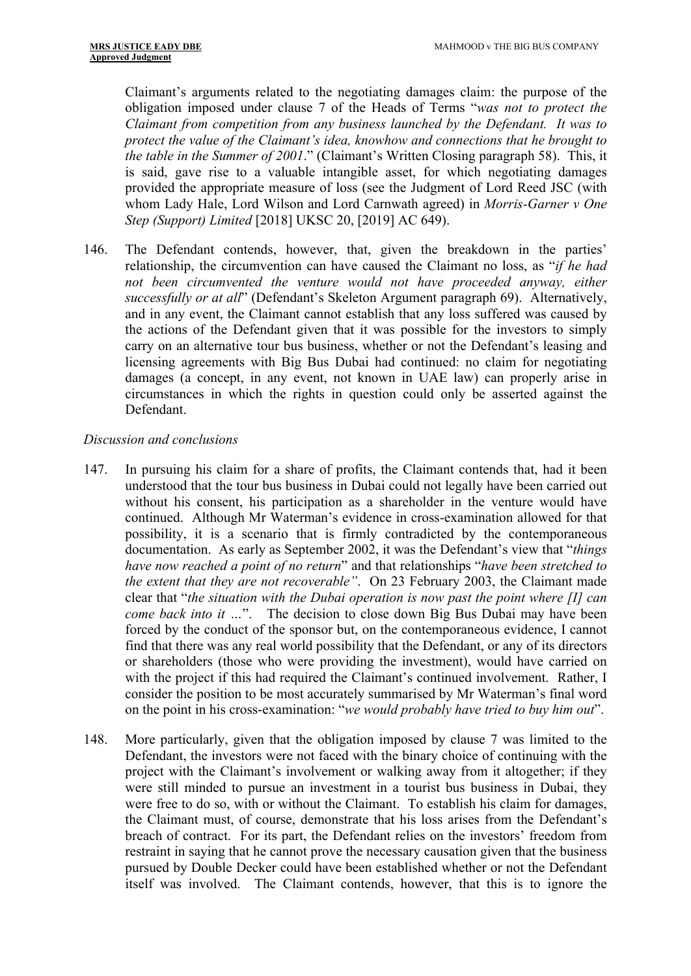Claimant's arguments related to the negotiating damages claim: the purpose of the obligation imposed under clause 7 of the Heads of Terms "*was not to protect the Claimant from competition from any business launched by the Defendant. It was to protect the value of the Claimant's idea, knowhow and connections that he brought to the table in the Summer of 2001*." (Claimant's Written Closing paragraph 58). This, it is said, gave rise to a valuable intangible asset, for which negotiating damages provided the appropriate measure of loss (see the Judgment of Lord Reed JSC (with whom Lady Hale, Lord Wilson and Lord Carnwath agreed) in *Morris-Garner v One Step (Support) Limited* [2018] UKSC 20, [2019] AC 649).

146. The Defendant contends, however, that, given the breakdown in the parties' relationship, the circumvention can have caused the Claimant no loss, as "*if he had*  not been circumvented the venture would not have proceeded anyway, either *successfully or at all*" (Defendant's Skeleton Argument paragraph 69). Alternatively, and in any event, the Claimant cannot establish that any loss suffered was caused by the actions of the Defendant given that it was possible for the investors to simply carry on an alternative tour bus business, whether or not the Defendant's leasing and licensing agreements with Big Bus Dubai had continued: no claim for negotiating damages (a concept, in any event, not known in UAE law) can properly arise in circumstances in which the rights in question could only be asserted against the Defendant.

# *Discussion and conclusions*

- 147. In pursuing his claim for a share of profits, the Claimant contends that, had it been understood that the tour bus business in Dubai could not legally have been carried out without his consent, his participation as a shareholder in the venture would have continued. Although Mr Waterman's evidence in cross-examination allowed for that possibility, it is a scenario that is firmly contradicted by the contemporaneous documentation. As early as September 2002, it was the Defendant's view that "*things have now reached a point of no return*" and that relationships "*have been stretched to the extent that they are not recoverable"*. On 23 February 2003, the Claimant made clear that "*the situation with the Dubai operation is now past the point where [I] can come back into it …*". The decision to close down Big Bus Dubai may have been forced by the conduct of the sponsor but, on the contemporaneous evidence, I cannot find that there was any real world possibility that the Defendant, or any of its directors or shareholders (those who were providing the investment), would have carried on with the project if this had required the Claimant's continued involvement. Rather, I consider the position to be most accurately summarised by Mr Waterman's final word on the point in his cross-examination: "*we would probably have tried to buy him out*".
- 148. More particularly, given that the obligation imposed by clause 7 was limited to the Defendant, the investors were not faced with the binary choice of continuing with the project with the Claimant's involvement or walking away from it altogether; if they were still minded to pursue an investment in a tourist bus business in Dubai, they were free to do so, with or without the Claimant. To establish his claim for damages, the Claimant must, of course, demonstrate that his loss arises from the Defendant's breach of contract. For its part, the Defendant relies on the investors' freedom from restraint in saying that he cannot prove the necessary causation given that the business pursued by Double Decker could have been established whether or not the Defendant itself was involved. The Claimant contends, however, that this is to ignore the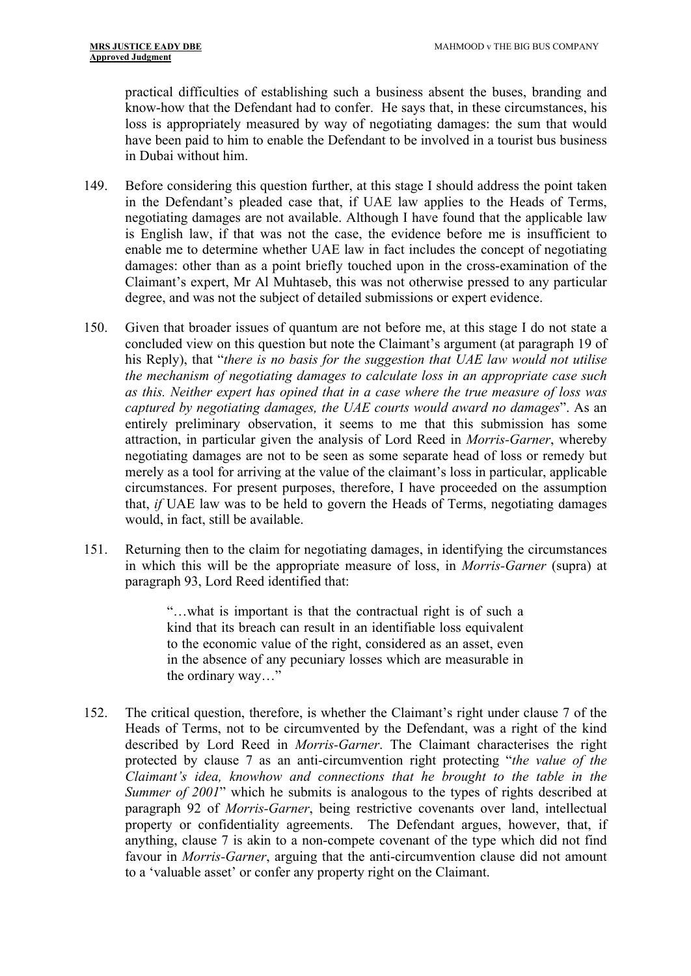practical difficulties of establishing such a business absent the buses, branding and know-how that the Defendant had to confer. He says that, in these circumstances, his loss is appropriately measured by way of negotiating damages: the sum that would have been paid to him to enable the Defendant to be involved in a tourist bus business in Dubai without him.

- 149. Before considering this question further, at this stage I should address the point taken in the Defendant's pleaded case that, if UAE law applies to the Heads of Terms, negotiating damages are not available. Although I have found that the applicable law is English law, if that was not the case, the evidence before me is insufficient to enable me to determine whether UAE law in fact includes the concept of negotiating damages: other than as a point briefly touched upon in the cross-examination of the Claimant's expert, Mr Al Muhtaseb, this was not otherwise pressed to any particular degree, and was not the subject of detailed submissions or expert evidence.
- 150. Given that broader issues of quantum are not before me, at this stage I do not state a concluded view on this question but note the Claimant's argument (at paragraph 19 of his Reply), that "*there is no basis for the suggestion that UAE law would not utilise the mechanism of negotiating damages to calculate loss in an appropriate case such as this. Neither expert has opined that in a case where the true measure of loss was captured by negotiating damages, the UAE courts would award no damages*". As an entirely preliminary observation, it seems to me that this submission has some attraction, in particular given the analysis of Lord Reed in *Morris-Garner*, whereby negotiating damages are not to be seen as some separate head of loss or remedy but merely as a tool for arriving at the value of the claimant's loss in particular, applicable circumstances. For present purposes, therefore, I have proceeded on the assumption that, *if* UAE law was to be held to govern the Heads of Terms, negotiating damages would, in fact, still be available.
- 151. Returning then to the claim for negotiating damages, in identifying the circumstances in which this will be the appropriate measure of loss, in *Morris-Garner* (supra) at paragraph 93, Lord Reed identified that:

"…what is important is that the contractual right is of such a kind that its breach can result in an identifiable loss equivalent to the economic value of the right, considered as an asset, even in the absence of any pecuniary losses which are measurable in the ordinary way…"

152. The critical question, therefore, is whether the Claimant's right under clause 7 of the Heads of Terms, not to be circumvented by the Defendant, was a right of the kind described by Lord Reed in *Morris-Garner*. The Claimant characterises the right protected by clause 7 as an anti-circumvention right protecting "*the value of the Claimant's idea, knowhow and connections that he brought to the table in the Summer of 2001*" which he submits is analogous to the types of rights described at paragraph 92 of *Morris-Garner*, being restrictive covenants over land, intellectual property or confidentiality agreements. The Defendant argues, however, that, if anything, clause 7 is akin to a non-compete covenant of the type which did not find favour in *Morris-Garner*, arguing that the anti-circumvention clause did not amount to a 'valuable asset' or confer any property right on the Claimant.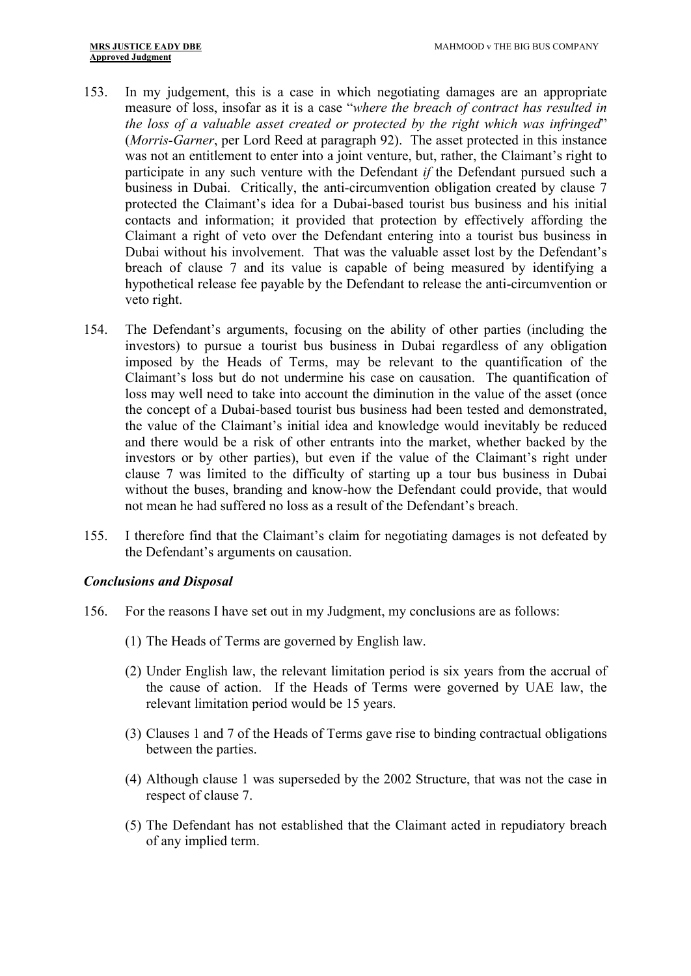- 153. In my judgement, this is a case in which negotiating damages are an appropriate measure of loss, insofar as it is a case "*where the breach of contract has resulted in the loss of a valuable asset created or protected by the right which was infringed*" (*Morris-Garner*, per Lord Reed at paragraph 92). The asset protected in this instance was not an entitlement to enter into a joint venture, but, rather, the Claimant's right to participate in any such venture with the Defendant *if* the Defendant pursued such a business in Dubai. Critically, the anti-circumvention obligation created by clause 7 protected the Claimant's idea for a Dubai-based tourist bus business and his initial contacts and information; it provided that protection by effectively affording the Claimant a right of veto over the Defendant entering into a tourist bus business in Dubai without his involvement. That was the valuable asset lost by the Defendant's breach of clause 7 and its value is capable of being measured by identifying a hypothetical release fee payable by the Defendant to release the anti-circumvention or veto right.
- 154. The Defendant's arguments, focusing on the ability of other parties (including the investors) to pursue a tourist bus business in Dubai regardless of any obligation imposed by the Heads of Terms, may be relevant to the quantification of the Claimant's loss but do not undermine his case on causation. The quantification of loss may well need to take into account the diminution in the value of the asset (once the concept of a Dubai-based tourist bus business had been tested and demonstrated, the value of the Claimant's initial idea and knowledge would inevitably be reduced and there would be a risk of other entrants into the market, whether backed by the investors or by other parties), but even if the value of the Claimant's right under clause 7 was limited to the difficulty of starting up a tour bus business in Dubai without the buses, branding and know-how the Defendant could provide, that would not mean he had suffered no loss as a result of the Defendant's breach.
- 155. I therefore find that the Claimant's claim for negotiating damages is not defeated by the Defendant's arguments on causation.

# <span id="page-41-0"></span>*Conclusions and Disposal*

- 156. For the reasons I have set out in my Judgment, my conclusions are as follows:
	- (1) The Heads of Terms are governed by English law.
	- (2) Under English law, the relevant limitation period is six years from the accrual of the cause of action. If the Heads of Terms were governed by UAE law, the relevant limitation period would be 15 years.
	- (3) Clauses 1 and 7 of the Heads of Terms gave rise to binding contractual obligations between the parties.
	- (4) Although clause 1 was superseded by the 2002 Structure, that was not the case in respect of clause 7.
	- (5) The Defendant has not established that the Claimant acted in repudiatory breach of any implied term.